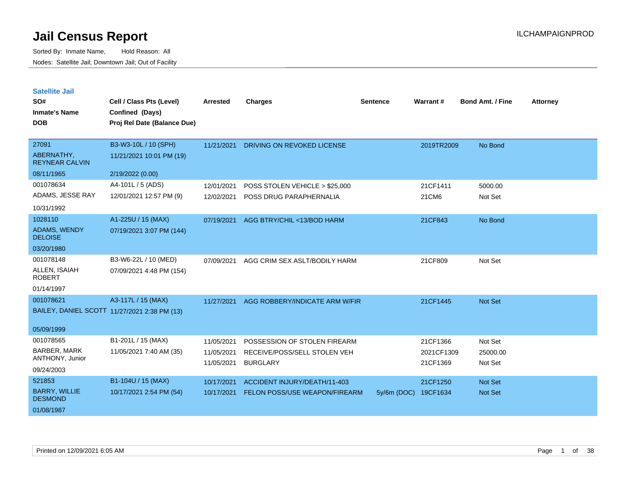| <b>Satellite Jail</b> |  |  |
|-----------------------|--|--|
|-----------------------|--|--|

| SO#<br><b>Inmate's Name</b><br><b>DOB</b> | Cell / Class Pts (Level)<br>Confined (Days)<br>Proj Rel Date (Balance Due) | Arrested   | <b>Charges</b>                 | <b>Sentence</b> | Warrant#   | <b>Bond Amt. / Fine</b> | <b>Attorney</b> |
|-------------------------------------------|----------------------------------------------------------------------------|------------|--------------------------------|-----------------|------------|-------------------------|-----------------|
| 27091                                     | B3-W3-10L / 10 (SPH)                                                       | 11/21/2021 | DRIVING ON REVOKED LICENSE     |                 | 2019TR2009 | No Bond                 |                 |
| ABERNATHY,<br><b>REYNEAR CALVIN</b>       | 11/21/2021 10:01 PM (19)                                                   |            |                                |                 |            |                         |                 |
| 08/11/1965                                | 2/19/2022 (0.00)                                                           |            |                                |                 |            |                         |                 |
| 001078634                                 | A4-101L / 5 (ADS)                                                          | 12/01/2021 | POSS STOLEN VEHICLE > \$25,000 |                 | 21CF1411   | 5000.00                 |                 |
| ADAMS, JESSE RAY                          | 12/01/2021 12:57 PM (9)                                                    | 12/02/2021 | POSS DRUG PARAPHERNALIA        |                 | 21CM6      | Not Set                 |                 |
| 10/31/1992                                |                                                                            |            |                                |                 |            |                         |                 |
| 1028110                                   | A1-225U / 15 (MAX)                                                         | 07/19/2021 | AGG BTRY/CHIL <13/BOD HARM     |                 | 21CF843    | No Bond                 |                 |
| <b>ADAMS, WENDY</b><br><b>DELOISE</b>     | 07/19/2021 3:07 PM (144)                                                   |            |                                |                 |            |                         |                 |
| 03/20/1980                                |                                                                            |            |                                |                 |            |                         |                 |
| 001078148                                 | B3-W6-22L / 10 (MED)                                                       | 07/09/2021 | AGG CRIM SEX ASLT/BODILY HARM  |                 | 21CF809    | Not Set                 |                 |
| ALLEN, ISAIAH<br><b>ROBERT</b>            | 07/09/2021 4:48 PM (154)                                                   |            |                                |                 |            |                         |                 |
| 01/14/1997                                |                                                                            |            |                                |                 |            |                         |                 |
| 001078621                                 | A3-117L / 15 (MAX)                                                         | 11/27/2021 | AGG ROBBERY/INDICATE ARM W/FIR |                 | 21CF1445   | Not Set                 |                 |
|                                           | BAILEY, DANIEL SCOTT 11/27/2021 2:38 PM (13)                               |            |                                |                 |            |                         |                 |
| 05/09/1999                                |                                                                            |            |                                |                 |            |                         |                 |
| 001078565                                 | B1-201L / 15 (MAX)                                                         | 11/05/2021 | POSSESSION OF STOLEN FIREARM   |                 | 21CF1366   | Not Set                 |                 |
| BARBER, MARK                              | 11/05/2021 7:40 AM (35)                                                    | 11/05/2021 | RECEIVE/POSS/SELL STOLEN VEH   |                 | 2021CF1309 | 25000.00                |                 |
| ANTHONY, Junior                           |                                                                            | 11/05/2021 | <b>BURGLARY</b>                |                 | 21CF1369   | Not Set                 |                 |
| 09/24/2003                                |                                                                            |            |                                |                 |            |                         |                 |
| 521853                                    | B1-104U / 15 (MAX)                                                         | 10/17/2021 | ACCIDENT INJURY/DEATH/11-403   |                 | 21CF1250   | <b>Not Set</b>          |                 |
| <b>BARRY, WILLIE</b><br><b>DESMOND</b>    | 10/17/2021 2:54 PM (54)                                                    | 10/17/2021 | FELON POSS/USE WEAPON/FIREARM  | $5y/6m$ (DOC)   | 19CF1634   | <b>Not Set</b>          |                 |
| 01/08/1987                                |                                                                            |            |                                |                 |            |                         |                 |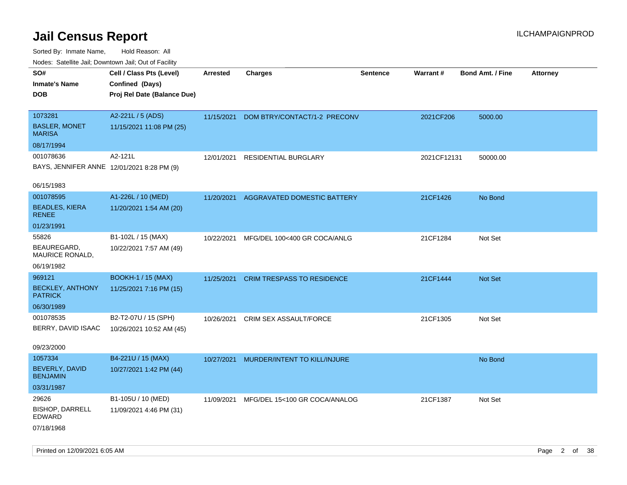| Nudes. Satellite Jali, Downtown Jali, Out of Facility |                             |            |                                   |                 |             |                         |                 |
|-------------------------------------------------------|-----------------------------|------------|-----------------------------------|-----------------|-------------|-------------------------|-----------------|
| SO#                                                   | Cell / Class Pts (Level)    | Arrested   | <b>Charges</b>                    | <b>Sentence</b> | Warrant#    | <b>Bond Amt. / Fine</b> | <b>Attorney</b> |
| <b>Inmate's Name</b>                                  | Confined (Days)             |            |                                   |                 |             |                         |                 |
| DOB                                                   | Proj Rel Date (Balance Due) |            |                                   |                 |             |                         |                 |
|                                                       |                             |            |                                   |                 |             |                         |                 |
| 1073281                                               | A2-221L / 5 (ADS)           | 11/15/2021 | DOM BTRY/CONTACT/1-2 PRECONV      |                 | 2021CF206   | 5000.00                 |                 |
| <b>BASLER, MONET</b><br>MARISA                        | 11/15/2021 11:08 PM (25)    |            |                                   |                 |             |                         |                 |
| 08/17/1994                                            |                             |            |                                   |                 |             |                         |                 |
| 001078636                                             | A2-121L                     | 12/01/2021 | <b>RESIDENTIAL BURGLARY</b>       |                 | 2021CF12131 | 50000.00                |                 |
| BAYS, JENNIFER ANNE 12/01/2021 8:28 PM (9)            |                             |            |                                   |                 |             |                         |                 |
| 06/15/1983                                            |                             |            |                                   |                 |             |                         |                 |
| 001078595                                             | A1-226L / 10 (MED)          | 11/20/2021 | AGGRAVATED DOMESTIC BATTERY       |                 | 21CF1426    | No Bond                 |                 |
| <b>BEADLES, KIERA</b><br>RENEE                        | 11/20/2021 1:54 AM (20)     |            |                                   |                 |             |                         |                 |
| 01/23/1991                                            |                             |            |                                   |                 |             |                         |                 |
| 55826                                                 | B1-102L / 15 (MAX)          | 10/22/2021 | MFG/DEL 100<400 GR COCA/ANLG      |                 | 21CF1284    | Not Set                 |                 |
| BEAUREGARD,<br>MAURICE RONALD,                        | 10/22/2021 7:57 AM (49)     |            |                                   |                 |             |                         |                 |
| 06/19/1982                                            |                             |            |                                   |                 |             |                         |                 |
| 969121                                                | <b>BOOKH-1 / 15 (MAX)</b>   | 11/25/2021 | <b>CRIM TRESPASS TO RESIDENCE</b> |                 | 21CF1444    | <b>Not Set</b>          |                 |
| <b>BECKLEY, ANTHONY</b><br><b>PATRICK</b>             | 11/25/2021 7:16 PM (15)     |            |                                   |                 |             |                         |                 |
| 06/30/1989                                            |                             |            |                                   |                 |             |                         |                 |
| 001078535                                             | B2-T2-07U / 15 (SPH)        | 10/26/2021 | CRIM SEX ASSAULT/FORCE            |                 | 21CF1305    | Not Set                 |                 |
| BERRY, DAVID ISAAC                                    | 10/26/2021 10:52 AM (45)    |            |                                   |                 |             |                         |                 |
| 09/23/2000                                            |                             |            |                                   |                 |             |                         |                 |
| 1057334                                               | B4-221U / 15 (MAX)          | 10/27/2021 | MURDER/INTENT TO KILL/INJURE      |                 |             | No Bond                 |                 |
| <b>BEVERLY, DAVID</b>                                 | 10/27/2021 1:42 PM (44)     |            |                                   |                 |             |                         |                 |
| <b>BENJAMIN</b>                                       |                             |            |                                   |                 |             |                         |                 |
| 03/31/1987                                            |                             |            |                                   |                 |             |                         |                 |
| 29626                                                 | B1-105U / 10 (MED)          | 11/09/2021 | MFG/DEL 15<100 GR COCA/ANALOG     |                 | 21CF1387    | Not Set                 |                 |
| <b>BISHOP, DARRELL</b><br>EDWARD                      | 11/09/2021 4:46 PM (31)     |            |                                   |                 |             |                         |                 |
| 07/18/1968                                            |                             |            |                                   |                 |             |                         |                 |
|                                                       |                             |            |                                   |                 |             |                         |                 |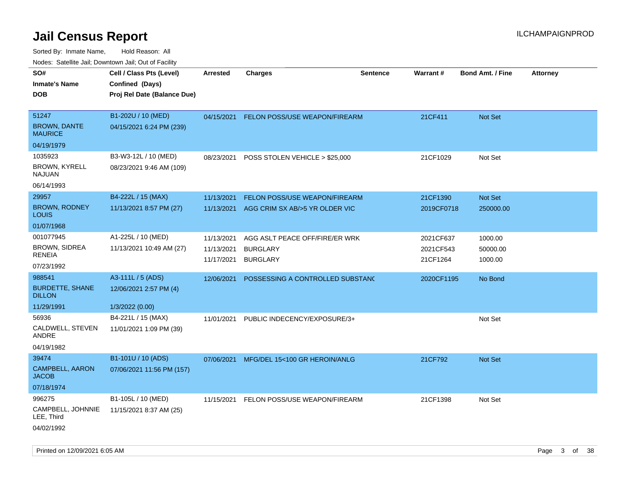| ivouss. Satellite Jali, Downtown Jali, Out of Facility |                                             |                          |                                      |                 |                       |                         |                 |
|--------------------------------------------------------|---------------------------------------------|--------------------------|--------------------------------------|-----------------|-----------------------|-------------------------|-----------------|
| SO#<br>Inmate's Name                                   | Cell / Class Pts (Level)<br>Confined (Days) | <b>Arrested</b>          | <b>Charges</b>                       | <b>Sentence</b> | <b>Warrant#</b>       | <b>Bond Amt. / Fine</b> | <b>Attorney</b> |
| DOB                                                    | Proj Rel Date (Balance Due)                 |                          |                                      |                 |                       |                         |                 |
| 51247                                                  | B1-202U / 10 (MED)                          | 04/15/2021               | <b>FELON POSS/USE WEAPON/FIREARM</b> |                 | 21CF411               | <b>Not Set</b>          |                 |
| <b>BROWN, DANTE</b><br><b>MAURICE</b>                  | 04/15/2021 6:24 PM (239)                    |                          |                                      |                 |                       |                         |                 |
| 04/19/1979                                             |                                             |                          |                                      |                 |                       |                         |                 |
| 1035923                                                | B3-W3-12L / 10 (MED)                        | 08/23/2021               | POSS STOLEN VEHICLE > \$25,000       |                 | 21CF1029              | Not Set                 |                 |
| <b>BROWN, KYRELL</b><br>NAJUAN                         | 08/23/2021 9:46 AM (109)                    |                          |                                      |                 |                       |                         |                 |
| 06/14/1993                                             |                                             |                          |                                      |                 |                       |                         |                 |
| 29957                                                  | B4-222L / 15 (MAX)                          | 11/13/2021               | FELON POSS/USE WEAPON/FIREARM        |                 | 21CF1390              | Not Set                 |                 |
| <b>BROWN, RODNEY</b><br>Louis                          | 11/13/2021 8:57 PM (27)                     | 11/13/2021               | AGG CRIM SX AB/>5 YR OLDER VIC       |                 | 2019CF0718            | 250000.00               |                 |
| 01/07/1968                                             |                                             |                          |                                      |                 |                       |                         |                 |
| 001077945                                              | A1-225L / 10 (MED)                          | 11/13/2021               | AGG ASLT PEACE OFF/FIRE/ER WRK       |                 | 2021CF637             | 1000.00                 |                 |
| <b>BROWN, SIDREA</b><br><b>RENEIA</b>                  | 11/13/2021 10:49 AM (27)                    | 11/13/2021<br>11/17/2021 | <b>BURGLARY</b><br><b>BURGLARY</b>   |                 | 2021CF543<br>21CF1264 | 50000.00<br>1000.00     |                 |
| 07/23/1992                                             |                                             |                          |                                      |                 |                       |                         |                 |
| 988541                                                 | A3-111L / 5 (ADS)                           | 12/06/2021               | POSSESSING A CONTROLLED SUBSTAND     |                 | 2020CF1195            | No Bond                 |                 |
| <b>BURDETTE, SHANE</b><br><b>DILLON</b>                | 12/06/2021 2:57 PM (4)                      |                          |                                      |                 |                       |                         |                 |
| 11/29/1991                                             | 1/3/2022 (0.00)                             |                          |                                      |                 |                       |                         |                 |
| 56936                                                  | B4-221L / 15 (MAX)                          | 11/01/2021               | PUBLIC INDECENCY/EXPOSURE/3+         |                 |                       | Not Set                 |                 |
| CALDWELL, STEVEN<br>ANDRE                              | 11/01/2021 1:09 PM (39)                     |                          |                                      |                 |                       |                         |                 |
| 04/19/1982                                             |                                             |                          |                                      |                 |                       |                         |                 |
| 39474                                                  | B1-101U / 10 (ADS)                          | 07/06/2021               | MFG/DEL 15<100 GR HEROIN/ANLG        |                 | 21CF792               | <b>Not Set</b>          |                 |
| <b>CAMPBELL, AARON</b><br>JACOB                        | 07/06/2021 11:56 PM (157)                   |                          |                                      |                 |                       |                         |                 |
| 07/18/1974                                             |                                             |                          |                                      |                 |                       |                         |                 |
| 996275                                                 | B1-105L / 10 (MED)                          | 11/15/2021               | FELON POSS/USE WEAPON/FIREARM        |                 | 21CF1398              | Not Set                 |                 |
| CAMPBELL, JOHNNIE<br>LEE, Third                        | 11/15/2021 8:37 AM (25)                     |                          |                                      |                 |                       |                         |                 |
| 04/02/1992                                             |                                             |                          |                                      |                 |                       |                         |                 |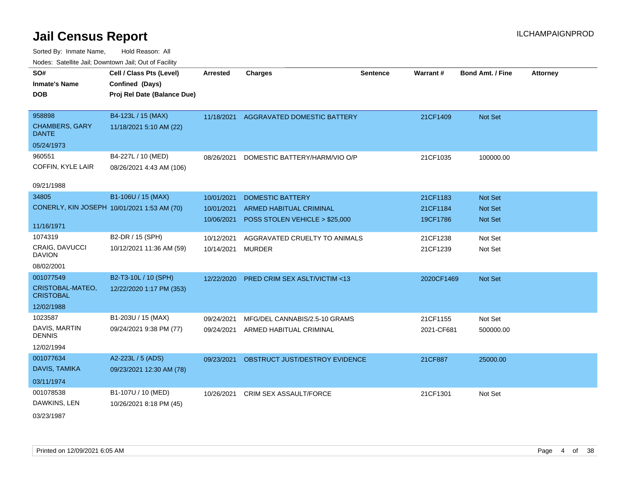| SO#                                    | Cell / Class Pts (Level)                    | <b>Arrested</b>   | <b>Charges</b>                            | <b>Sentence</b> | Warrant#   | <b>Bond Amt. / Fine</b> | <b>Attorney</b> |
|----------------------------------------|---------------------------------------------|-------------------|-------------------------------------------|-----------------|------------|-------------------------|-----------------|
| <b>Inmate's Name</b>                   | Confined (Days)                             |                   |                                           |                 |            |                         |                 |
| <b>DOB</b>                             | Proj Rel Date (Balance Due)                 |                   |                                           |                 |            |                         |                 |
|                                        |                                             |                   |                                           |                 |            |                         |                 |
| 958898                                 | B4-123L / 15 (MAX)                          |                   | 11/18/2021 AGGRAVATED DOMESTIC BATTERY    |                 | 21CF1409   | Not Set                 |                 |
| <b>CHAMBERS, GARY</b><br><b>DANTE</b>  | 11/18/2021 5:10 AM (22)                     |                   |                                           |                 |            |                         |                 |
| 05/24/1973                             |                                             |                   |                                           |                 |            |                         |                 |
| 960551                                 | B4-227L / 10 (MED)                          | 08/26/2021        | DOMESTIC BATTERY/HARM/VIO O/P             |                 | 21CF1035   | 100000.00               |                 |
| COFFIN, KYLE LAIR                      | 08/26/2021 4:43 AM (106)                    |                   |                                           |                 |            |                         |                 |
|                                        |                                             |                   |                                           |                 |            |                         |                 |
| 09/21/1988                             |                                             |                   |                                           |                 |            |                         |                 |
| 34805                                  | B1-106U / 15 (MAX)                          | 10/01/2021        | <b>DOMESTIC BATTERY</b>                   |                 | 21CF1183   | Not Set                 |                 |
|                                        | CONERLY, KIN JOSEPH 10/01/2021 1:53 AM (70) | 10/01/2021        | <b>ARMED HABITUAL CRIMINAL</b>            |                 | 21CF1184   | Not Set                 |                 |
|                                        |                                             | 10/06/2021        | POSS STOLEN VEHICLE > \$25,000            |                 | 19CF1786   | Not Set                 |                 |
| 11/16/1971                             |                                             |                   |                                           |                 |            |                         |                 |
| 1074319                                | B2-DR / 15 (SPH)                            | 10/12/2021        | AGGRAVATED CRUELTY TO ANIMALS             |                 | 21CF1238   | Not Set                 |                 |
| <b>CRAIG, DAVUCCI</b><br><b>DAVION</b> | 10/12/2021 11:36 AM (59)                    | 10/14/2021 MURDER |                                           |                 | 21CF1239   | Not Set                 |                 |
| 08/02/2001                             |                                             |                   |                                           |                 |            |                         |                 |
| 001077549                              | B2-T3-10L / 10 (SPH)                        | 12/22/2020        | PRED CRIM SEX ASLT/VICTIM <13             |                 | 2020CF1469 | Not Set                 |                 |
| CRISTOBAL-MATEO,<br><b>CRISTOBAL</b>   | 12/22/2020 1:17 PM (353)                    |                   |                                           |                 |            |                         |                 |
| 12/02/1988                             |                                             |                   |                                           |                 |            |                         |                 |
| 1023587                                | B1-203U / 15 (MAX)                          | 09/24/2021        | MFG/DEL CANNABIS/2.5-10 GRAMS             |                 | 21CF1155   | Not Set                 |                 |
| DAVIS, MARTIN<br><b>DENNIS</b>         | 09/24/2021 9:38 PM (77)                     | 09/24/2021        | ARMED HABITUAL CRIMINAL                   |                 | 2021-CF681 | 500000.00               |                 |
| 12/02/1994                             |                                             |                   |                                           |                 |            |                         |                 |
| 001077634                              | A2-223L / 5 (ADS)                           |                   | 09/23/2021 OBSTRUCT JUST/DESTROY EVIDENCE |                 | 21CF887    | 25000.00                |                 |
| DAVIS, TAMIKA                          | 09/23/2021 12:30 AM (78)                    |                   |                                           |                 |            |                         |                 |
| 03/11/1974                             |                                             |                   |                                           |                 |            |                         |                 |
| 001078538                              | B1-107U / 10 (MED)                          | 10/26/2021        | CRIM SEX ASSAULT/FORCE                    |                 | 21CF1301   | Not Set                 |                 |
| DAWKINS, LEN                           | 10/26/2021 8:18 PM (45)                     |                   |                                           |                 |            |                         |                 |
|                                        |                                             |                   |                                           |                 |            |                         |                 |
| 03/23/1987                             |                                             |                   |                                           |                 |            |                         |                 |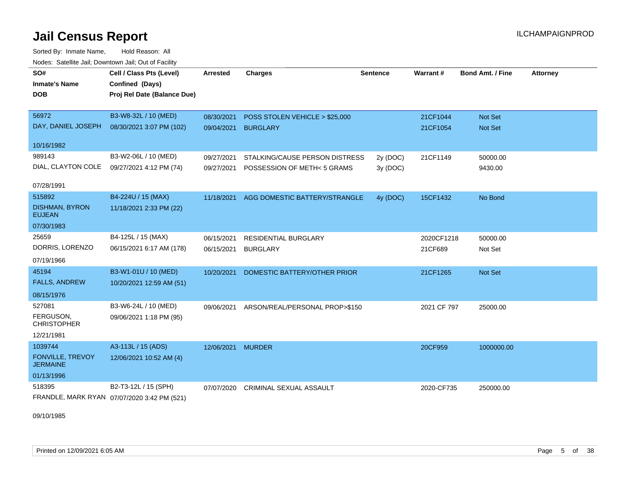Sorted By: Inmate Name, Hold Reason: All Nodes: Satellite Jail; Downtown Jail; Out of Facility

| SO#                                        | Cell / Class Pts (Level)                       | <b>Arrested</b>   | <b>Charges</b>                 | <b>Sentence</b> | Warrant#    | <b>Bond Amt. / Fine</b> | <b>Attorney</b> |
|--------------------------------------------|------------------------------------------------|-------------------|--------------------------------|-----------------|-------------|-------------------------|-----------------|
| <b>Inmate's Name</b><br><b>DOB</b>         | Confined (Days)<br>Proj Rel Date (Balance Due) |                   |                                |                 |             |                         |                 |
|                                            |                                                |                   |                                |                 |             |                         |                 |
| 56972                                      | B3-W8-32L / 10 (MED)                           | 08/30/2021        | POSS STOLEN VEHICLE > \$25,000 |                 | 21CF1044    | Not Set                 |                 |
| DAY, DANIEL JOSEPH                         | 08/30/2021 3:07 PM (102)                       | 09/04/2021        | <b>BURGLARY</b>                |                 | 21CF1054    | Not Set                 |                 |
| 10/16/1982                                 |                                                |                   |                                |                 |             |                         |                 |
| 989143                                     | B3-W2-06L / 10 (MED)                           | 09/27/2021        | STALKING/CAUSE PERSON DISTRESS | 2y (DOC)        | 21CF1149    | 50000.00                |                 |
| DIAL, CLAYTON COLE                         | 09/27/2021 4:12 PM (74)                        | 09/27/2021        | POSSESSION OF METH< 5 GRAMS    | 3y (DOC)        |             | 9430.00                 |                 |
| 07/28/1991                                 |                                                |                   |                                |                 |             |                         |                 |
| 515892                                     | B4-224U / 15 (MAX)                             | 11/18/2021        | AGG DOMESTIC BATTERY/STRANGLE  | 4y (DOC)        | 15CF1432    | No Bond                 |                 |
| <b>DISHMAN, BYRON</b><br><b>EUJEAN</b>     | 11/18/2021 2:33 PM (22)                        |                   |                                |                 |             |                         |                 |
| 07/30/1983                                 |                                                |                   |                                |                 |             |                         |                 |
| 25659                                      | B4-125L / 15 (MAX)                             | 06/15/2021        | <b>RESIDENTIAL BURGLARY</b>    |                 | 2020CF1218  | 50000.00                |                 |
| DORRIS, LORENZO                            | 06/15/2021 6:17 AM (178)                       | 06/15/2021        | <b>BURGLARY</b>                |                 | 21CF689     | Not Set                 |                 |
| 07/19/1966                                 |                                                |                   |                                |                 |             |                         |                 |
| 45194                                      | B3-W1-01U / 10 (MED)                           | 10/20/2021        | DOMESTIC BATTERY/OTHER PRIOR   |                 | 21CF1265    | Not Set                 |                 |
| <b>FALLS, ANDREW</b>                       | 10/20/2021 12:59 AM (51)                       |                   |                                |                 |             |                         |                 |
| 08/15/1976                                 |                                                |                   |                                |                 |             |                         |                 |
| 527081                                     | B3-W6-24L / 10 (MED)                           | 09/06/2021        | ARSON/REAL/PERSONAL PROP>\$150 |                 | 2021 CF 797 | 25000.00                |                 |
| FERGUSON,<br><b>CHRISTOPHER</b>            | 09/06/2021 1:18 PM (95)                        |                   |                                |                 |             |                         |                 |
| 12/21/1981                                 |                                                |                   |                                |                 |             |                         |                 |
| 1039744                                    | A3-113L / 15 (ADS)                             | 12/06/2021 MURDER |                                |                 | 20CF959     | 1000000.00              |                 |
| <b>FONVILLE, TREVOY</b><br><b>JERMAINE</b> | 12/06/2021 10:52 AM (4)                        |                   |                                |                 |             |                         |                 |
| 01/13/1996                                 |                                                |                   |                                |                 |             |                         |                 |
| 518395                                     | B2-T3-12L / 15 (SPH)                           | 07/07/2020        | <b>CRIMINAL SEXUAL ASSAULT</b> |                 | 2020-CF735  | 250000.00               |                 |
|                                            | FRANDLE, MARK RYAN 07/07/2020 3:42 PM (521)    |                   |                                |                 |             |                         |                 |

09/10/1985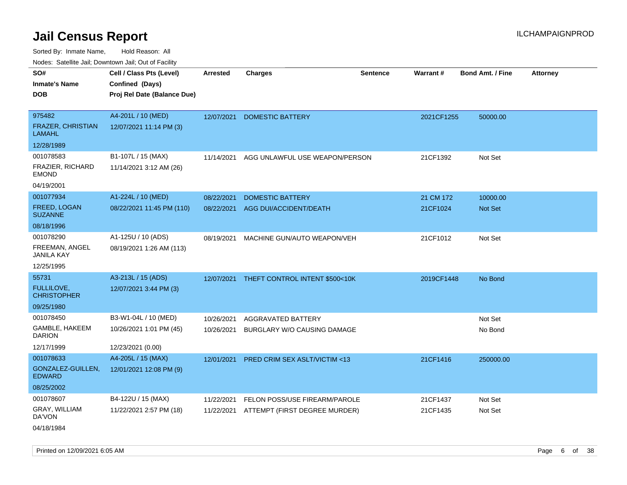| roaco. Catolino dall, Downtown dall, Out of Fability |                                                                            |                 |                                |                 |                 |                         |                 |
|------------------------------------------------------|----------------------------------------------------------------------------|-----------------|--------------------------------|-----------------|-----------------|-------------------------|-----------------|
| SO#<br><b>Inmate's Name</b><br><b>DOB</b>            | Cell / Class Pts (Level)<br>Confined (Days)<br>Proj Rel Date (Balance Due) | <b>Arrested</b> | <b>Charges</b>                 | <b>Sentence</b> | <b>Warrant#</b> | <b>Bond Amt. / Fine</b> | <b>Attorney</b> |
|                                                      |                                                                            |                 |                                |                 |                 |                         |                 |
| 975482                                               | A4-201L / 10 (MED)                                                         | 12/07/2021      | <b>DOMESTIC BATTERY</b>        |                 | 2021CF1255      | 50000.00                |                 |
| FRAZER, CHRISTIAN<br><b>LAMAHL</b>                   | 12/07/2021 11:14 PM (3)                                                    |                 |                                |                 |                 |                         |                 |
| 12/28/1989                                           |                                                                            |                 |                                |                 |                 |                         |                 |
| 001078583                                            | B1-107L / 15 (MAX)                                                         | 11/14/2021      | AGG UNLAWFUL USE WEAPON/PERSON |                 | 21CF1392        | Not Set                 |                 |
| FRAZIER, RICHARD<br><b>EMOND</b>                     | 11/14/2021 3:12 AM (26)                                                    |                 |                                |                 |                 |                         |                 |
| 04/19/2001                                           |                                                                            |                 |                                |                 |                 |                         |                 |
| 001077934                                            | A1-224L / 10 (MED)                                                         | 08/22/2021      | <b>DOMESTIC BATTERY</b>        |                 | 21 CM 172       | 10000.00                |                 |
| <b>FREED, LOGAN</b><br><b>SUZANNE</b>                | 08/22/2021 11:45 PM (110)                                                  | 08/22/2021      | AGG DUI/ACCIDENT/DEATH         |                 | 21CF1024        | Not Set                 |                 |
| 08/18/1996                                           |                                                                            |                 |                                |                 |                 |                         |                 |
| 001078290                                            | A1-125U / 10 (ADS)                                                         | 08/19/2021      | MACHINE GUN/AUTO WEAPON/VEH    |                 | 21CF1012        | Not Set                 |                 |
| FREEMAN, ANGEL<br>JANILA KAY                         | 08/19/2021 1:26 AM (113)                                                   |                 |                                |                 |                 |                         |                 |
| 12/25/1995                                           |                                                                            |                 |                                |                 |                 |                         |                 |
| 55731                                                | A3-213L / 15 (ADS)                                                         | 12/07/2021      | THEFT CONTROL INTENT \$500<10K |                 | 2019CF1448      | No Bond                 |                 |
| FULLILOVE,<br><b>CHRISTOPHER</b>                     | 12/07/2021 3:44 PM (3)                                                     |                 |                                |                 |                 |                         |                 |
| 09/25/1980                                           |                                                                            |                 |                                |                 |                 |                         |                 |
| 001078450                                            | B3-W1-04L / 10 (MED)                                                       | 10/26/2021      | AGGRAVATED BATTERY             |                 |                 | Not Set                 |                 |
| GAMBLE, HAKEEM<br><b>DARION</b>                      | 10/26/2021 1:01 PM (45)                                                    | 10/26/2021      | BURGLARY W/O CAUSING DAMAGE    |                 |                 | No Bond                 |                 |
| 12/17/1999                                           | 12/23/2021 (0.00)                                                          |                 |                                |                 |                 |                         |                 |
| 001078633                                            | A4-205L / 15 (MAX)                                                         | 12/01/2021      | PRED CRIM SEX ASLT/VICTIM <13  |                 | 21CF1416        | 250000.00               |                 |
| GONZALEZ-GUILLEN,<br><b>EDWARD</b>                   | 12/01/2021 12:08 PM (9)                                                    |                 |                                |                 |                 |                         |                 |
| 08/25/2002                                           |                                                                            |                 |                                |                 |                 |                         |                 |
| 001078607                                            | B4-122U / 15 (MAX)                                                         | 11/22/2021      | FELON POSS/USE FIREARM/PAROLE  |                 | 21CF1437        | Not Set                 |                 |
| GRAY, WILLIAM<br>DA'VON                              | 11/22/2021 2:57 PM (18)                                                    | 11/22/2021      | ATTEMPT (FIRST DEGREE MURDER)  |                 | 21CF1435        | Not Set                 |                 |
| 04/18/1984                                           |                                                                            |                 |                                |                 |                 |                         |                 |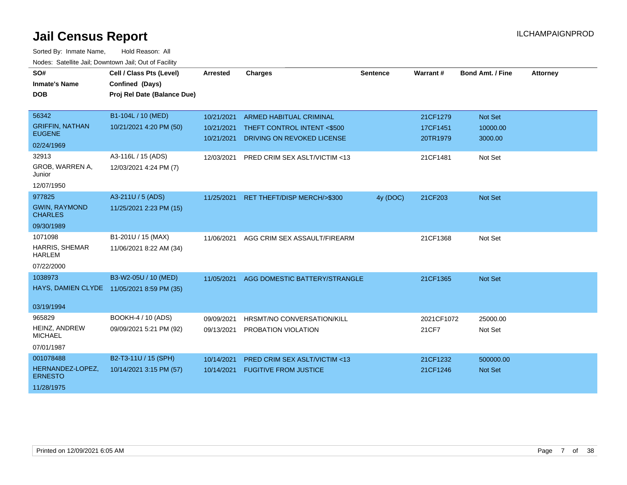| SO#                                    | Cell / Class Pts (Level)                   | <b>Arrested</b> | <b>Charges</b>                          | <b>Sentence</b> | Warrant#   | <b>Bond Amt. / Fine</b> | <b>Attorney</b> |
|----------------------------------------|--------------------------------------------|-----------------|-----------------------------------------|-----------------|------------|-------------------------|-----------------|
| <b>Inmate's Name</b>                   | Confined (Days)                            |                 |                                         |                 |            |                         |                 |
| <b>DOB</b>                             | Proj Rel Date (Balance Due)                |                 |                                         |                 |            |                         |                 |
|                                        |                                            |                 |                                         |                 |            |                         |                 |
| 56342                                  | B1-104L / 10 (MED)                         | 10/21/2021      | <b>ARMED HABITUAL CRIMINAL</b>          |                 | 21CF1279   | Not Set                 |                 |
| <b>GRIFFIN, NATHAN</b>                 | 10/21/2021 4:20 PM (50)                    | 10/21/2021      | THEFT CONTROL INTENT <\$500             |                 | 17CF1451   | 10000.00                |                 |
| <b>EUGENE</b>                          |                                            | 10/21/2021      | DRIVING ON REVOKED LICENSE              |                 | 20TR1979   | 3000.00                 |                 |
| 02/24/1969                             |                                            |                 |                                         |                 |            |                         |                 |
| 32913                                  | A3-116L / 15 (ADS)                         | 12/03/2021      | PRED CRIM SEX ASLT/VICTIM <13           |                 | 21CF1481   | Not Set                 |                 |
| GROB, WARREN A,<br>Junior              | 12/03/2021 4:24 PM (7)                     |                 |                                         |                 |            |                         |                 |
| 12/07/1950                             |                                            |                 |                                         |                 |            |                         |                 |
| 977825                                 | A3-211U / 5 (ADS)                          | 11/25/2021      | RET THEFT/DISP MERCH/>\$300             | 4y (DOC)        | 21CF203    | Not Set                 |                 |
| <b>GWIN, RAYMOND</b><br><b>CHARLES</b> | 11/25/2021 2:23 PM (15)                    |                 |                                         |                 |            |                         |                 |
| 09/30/1989                             |                                            |                 |                                         |                 |            |                         |                 |
| 1071098                                | B1-201U / 15 (MAX)                         | 11/06/2021      | AGG CRIM SEX ASSAULT/FIREARM            |                 | 21CF1368   | Not Set                 |                 |
| <b>HARRIS, SHEMAR</b><br><b>HARLEM</b> | 11/06/2021 8:22 AM (34)                    |                 |                                         |                 |            |                         |                 |
| 07/22/2000                             |                                            |                 |                                         |                 |            |                         |                 |
| 1038973                                | B3-W2-05U / 10 (MED)                       | 11/05/2021      | AGG DOMESTIC BATTERY/STRANGLE           |                 | 21CF1365   | Not Set                 |                 |
|                                        | HAYS, DAMIEN CLYDE 11/05/2021 8:59 PM (35) |                 |                                         |                 |            |                         |                 |
|                                        |                                            |                 |                                         |                 |            |                         |                 |
| 03/19/1994                             |                                            |                 |                                         |                 |            |                         |                 |
| 965829                                 | BOOKH-4 / 10 (ADS)                         | 09/09/2021      | HRSMT/NO CONVERSATION/KILL              |                 | 2021CF1072 | 25000.00                |                 |
| HEINZ, ANDREW<br><b>MICHAEL</b>        | 09/09/2021 5:21 PM (92)                    | 09/13/2021      | PROBATION VIOLATION                     |                 | 21CF7      | Not Set                 |                 |
| 07/01/1987                             |                                            |                 |                                         |                 |            |                         |                 |
| 001078488                              | B2-T3-11U / 15 (SPH)                       | 10/14/2021      | <b>PRED CRIM SEX ASLT/VICTIM &lt;13</b> |                 | 21CF1232   | 500000.00               |                 |
| HERNANDEZ-LOPEZ,<br><b>ERNESTO</b>     | 10/14/2021 3:15 PM (57)                    | 10/14/2021      | <b>FUGITIVE FROM JUSTICE</b>            |                 | 21CF1246   | <b>Not Set</b>          |                 |
| 11/28/1975                             |                                            |                 |                                         |                 |            |                         |                 |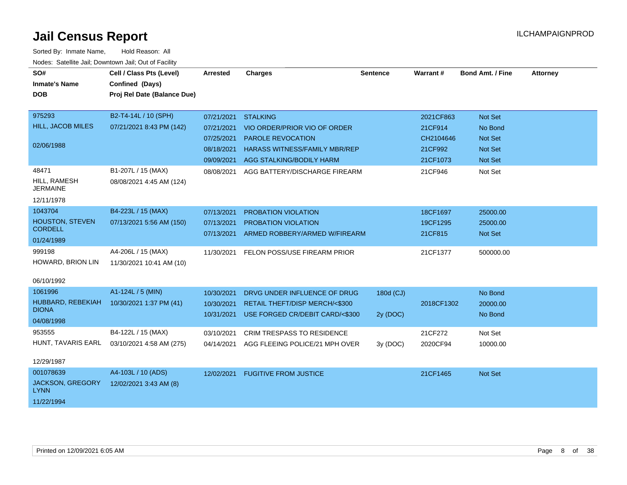| SO#<br><b>Inmate's Name</b><br><b>DOB</b>           | Cell / Class Pts (Level)<br>Confined (Days)<br>Proj Rel Date (Balance Due) | Arrested                               | <b>Charges</b>                                                                                    | <b>Sentence</b>       | <b>Warrant#</b>                   | <b>Bond Amt. / Fine</b>                     | <b>Attorney</b> |
|-----------------------------------------------------|----------------------------------------------------------------------------|----------------------------------------|---------------------------------------------------------------------------------------------------|-----------------------|-----------------------------------|---------------------------------------------|-----------------|
| 975293<br><b>HILL, JACOB MILES</b><br>02/06/1988    | B2-T4-14L / 10 (SPH)<br>07/21/2021 8:43 PM (142)                           | 07/21/2021<br>07/21/2021<br>07/25/2021 | <b>STALKING</b><br>VIO ORDER/PRIOR VIO OF ORDER<br><b>PAROLE REVOCATION</b>                       |                       | 2021CF863<br>21CF914<br>CH2104646 | <b>Not Set</b><br>No Bond<br><b>Not Set</b> |                 |
|                                                     |                                                                            | 08/18/2021<br>09/09/2021               | <b>HARASS WITNESS/FAMILY MBR/REP</b><br>AGG STALKING/BODILY HARM                                  |                       | 21CF992<br>21CF1073               | <b>Not Set</b><br>Not Set                   |                 |
| 48471<br>HILL, RAMESH<br><b>JERMAINE</b>            | B1-207L / 15 (MAX)<br>08/08/2021 4:45 AM (124)                             | 08/08/2021                             | AGG BATTERY/DISCHARGE FIREARM                                                                     |                       | 21CF946                           | Not Set                                     |                 |
| 12/11/1978                                          |                                                                            |                                        |                                                                                                   |                       |                                   |                                             |                 |
| 1043704<br><b>HOUSTON, STEVEN</b><br><b>CORDELL</b> | B4-223L / 15 (MAX)<br>07/13/2021 5:56 AM (150)                             | 07/13/2021<br>07/13/2021<br>07/13/2021 | PROBATION VIOLATION<br>PROBATION VIOLATION<br>ARMED ROBBERY/ARMED W/FIREARM                       |                       | 18CF1697<br>19CF1295<br>21CF815   | 25000.00<br>25000.00<br><b>Not Set</b>      |                 |
| 01/24/1989                                          |                                                                            |                                        |                                                                                                   |                       |                                   |                                             |                 |
| 999198<br>HOWARD, BRION LIN                         | A4-206L / 15 (MAX)<br>11/30/2021 10:41 AM (10)                             | 11/30/2021                             | FELON POSS/USE FIREARM PRIOR                                                                      |                       | 21CF1377                          | 500000.00                                   |                 |
| 06/10/1992                                          |                                                                            |                                        |                                                                                                   |                       |                                   |                                             |                 |
| 1061996<br>HUBBARD, REBEKIAH<br><b>DIONA</b>        | A1-124L / 5 (MIN)<br>10/30/2021 1:37 PM (41)                               | 10/30/2021<br>10/30/2021<br>10/31/2021 | DRVG UNDER INFLUENCE OF DRUG<br>RETAIL THEFT/DISP MERCH/<\$300<br>USE FORGED CR/DEBIT CARD/<\$300 | 180d (CJ)<br>2y (DOC) | 2018CF1302                        | No Bond<br>20000.00<br>No Bond              |                 |
| 04/08/1998                                          |                                                                            |                                        |                                                                                                   |                       |                                   |                                             |                 |
| 953555<br>HUNT, TAVARIS EARL                        | B4-122L / 15 (MAX)<br>03/10/2021 4:58 AM (275)                             | 03/10/2021<br>04/14/2021               | <b>CRIM TRESPASS TO RESIDENCE</b><br>AGG FLEEING POLICE/21 MPH OVER                               | 3y(DOC)               | 21CF272<br>2020CF94               | Not Set<br>10000.00                         |                 |
| 12/29/1987                                          |                                                                            |                                        |                                                                                                   |                       |                                   |                                             |                 |
| 001078639<br>JACKSON, GREGORY<br><b>LYNN</b>        | A4-103L / 10 (ADS)<br>12/02/2021 3:43 AM (8)                               | 12/02/2021                             | <b>FUGITIVE FROM JUSTICE</b>                                                                      |                       | 21CF1465                          | <b>Not Set</b>                              |                 |
| 11/22/1994                                          |                                                                            |                                        |                                                                                                   |                       |                                   |                                             |                 |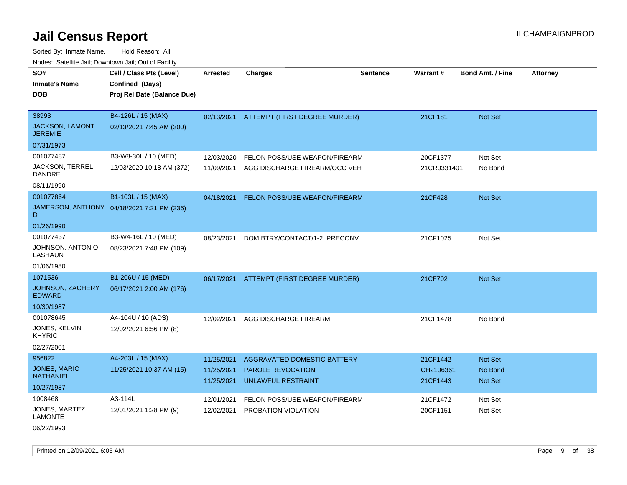Sorted By: Inmate Name, Hold Reason: All Nodes: Satellite Jail; Downtown Jail; Out of Facility

| roaco. Catolino cali, Domntonn cali, Out of Facility |                                            |                          |                                          |                 |                       |                         |                 |
|------------------------------------------------------|--------------------------------------------|--------------------------|------------------------------------------|-----------------|-----------------------|-------------------------|-----------------|
| SO#                                                  | Cell / Class Pts (Level)                   | Arrested                 | <b>Charges</b>                           | <b>Sentence</b> | Warrant#              | <b>Bond Amt. / Fine</b> | <b>Attorney</b> |
| <b>Inmate's Name</b>                                 | Confined (Days)                            |                          |                                          |                 |                       |                         |                 |
| <b>DOB</b>                                           | Proj Rel Date (Balance Due)                |                          |                                          |                 |                       |                         |                 |
|                                                      |                                            |                          |                                          |                 |                       |                         |                 |
| 38993                                                | B4-126L / 15 (MAX)                         |                          | 02/13/2021 ATTEMPT (FIRST DEGREE MURDER) |                 | 21CF181               | Not Set                 |                 |
| JACKSON, LAMONT<br><b>JEREMIE</b>                    | 02/13/2021 7:45 AM (300)                   |                          |                                          |                 |                       |                         |                 |
| 07/31/1973                                           |                                            |                          |                                          |                 |                       |                         |                 |
| 001077487                                            | B3-W8-30L / 10 (MED)                       | 12/03/2020               | FELON POSS/USE WEAPON/FIREARM            |                 | 20CF1377              | Not Set                 |                 |
| <b>JACKSON, TERREL</b><br><b>DANDRE</b>              | 12/03/2020 10:18 AM (372)                  | 11/09/2021               | AGG DISCHARGE FIREARM/OCC VEH            |                 | 21CR0331401           | No Bond                 |                 |
| 08/11/1990                                           |                                            |                          |                                          |                 |                       |                         |                 |
| 001077864                                            | B1-103L / 15 (MAX)                         | 04/18/2021               | <b>FELON POSS/USE WEAPON/FIREARM</b>     |                 | 21CF428               | Not Set                 |                 |
| D                                                    | JAMERSON, ANTHONY 04/18/2021 7:21 PM (236) |                          |                                          |                 |                       |                         |                 |
| 01/26/1990                                           |                                            |                          |                                          |                 |                       |                         |                 |
| 001077437                                            | B3-W4-16L / 10 (MED)                       | 08/23/2021               | DOM BTRY/CONTACT/1-2 PRECONV             |                 | 21CF1025              | Not Set                 |                 |
| JOHNSON, ANTONIO<br>LASHAUN                          | 08/23/2021 7:48 PM (109)                   |                          |                                          |                 |                       |                         |                 |
| 01/06/1980                                           |                                            |                          |                                          |                 |                       |                         |                 |
| 1071536                                              | B1-206U / 15 (MED)                         | 06/17/2021               | ATTEMPT (FIRST DEGREE MURDER)            |                 | 21CF702               | Not Set                 |                 |
| JOHNSON, ZACHERY<br><b>EDWARD</b>                    | 06/17/2021 2:00 AM (176)                   |                          |                                          |                 |                       |                         |                 |
| 10/30/1987                                           |                                            |                          |                                          |                 |                       |                         |                 |
| 001078645                                            | A4-104U / 10 (ADS)                         | 12/02/2021               | AGG DISCHARGE FIREARM                    |                 | 21CF1478              | No Bond                 |                 |
| JONES, KELVIN<br><b>KHYRIC</b>                       | 12/02/2021 6:56 PM (8)                     |                          |                                          |                 |                       |                         |                 |
| 02/27/2001                                           |                                            |                          |                                          |                 |                       |                         |                 |
| 956822                                               | A4-203L / 15 (MAX)                         | 11/25/2021               | AGGRAVATED DOMESTIC BATTERY              |                 | 21CF1442              | Not Set                 |                 |
| JONES, MARIO<br><b>NATHANIEL</b>                     | 11/25/2021 10:37 AM (15)                   | 11/25/2021<br>11/25/2021 | PAROLE REVOCATION<br>UNLAWFUL RESTRAINT  |                 | CH2106361<br>21CF1443 | No Bond<br>Not Set      |                 |
| 10/27/1987                                           |                                            |                          |                                          |                 |                       |                         |                 |
| 1008468                                              | A3-114L                                    | 12/01/2021               | FELON POSS/USE WEAPON/FIREARM            |                 | 21CF1472              | Not Set                 |                 |
| JONES, MARTEZ<br><b>LAMONTE</b>                      | 12/01/2021 1:28 PM (9)                     | 12/02/2021               | PROBATION VIOLATION                      |                 | 20CF1151              | Not Set                 |                 |
| 06/22/1993                                           |                                            |                          |                                          |                 |                       |                         |                 |

Printed on 12/09/2021 6:05 AM **Page 9 of 38**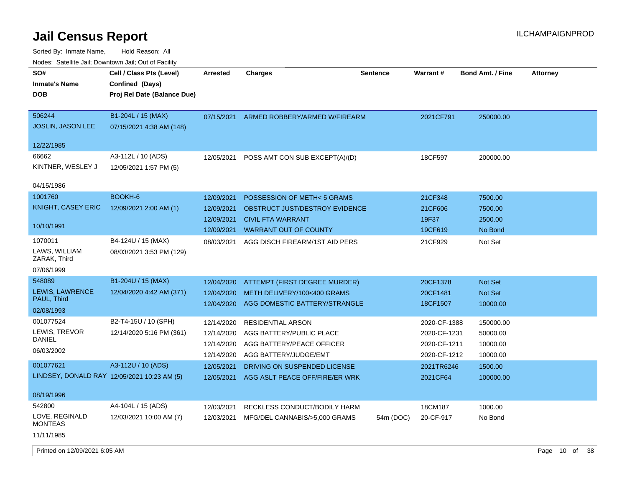Sorted By: Inmate Name, Hold Reason: All Nodes: Satellite Jail; Downtown Jail; Out of Facility

| rouce. Calcinic Jan, Downtown Jan, Out or Facility                                                    |                                                                                     |                                                                    |                                                                                                                                                             |                 |                                                              |                                                     |                 |
|-------------------------------------------------------------------------------------------------------|-------------------------------------------------------------------------------------|--------------------------------------------------------------------|-------------------------------------------------------------------------------------------------------------------------------------------------------------|-----------------|--------------------------------------------------------------|-----------------------------------------------------|-----------------|
| SO#<br>Inmate's Name<br>DOB                                                                           | Cell / Class Pts (Level)<br>Confined (Days)<br>Proj Rel Date (Balance Due)          | <b>Arrested</b>                                                    | <b>Charges</b>                                                                                                                                              | <b>Sentence</b> | <b>Warrant#</b>                                              | <b>Bond Amt. / Fine</b>                             | <b>Attorney</b> |
| 506244<br>JOSLIN, JASON LEE<br>12/22/1985                                                             | B1-204L / 15 (MAX)<br>07/15/2021 4:38 AM (148)                                      | 07/15/2021                                                         | ARMED ROBBERY/ARMED W/FIREARM                                                                                                                               |                 | 2021CF791                                                    | 250000.00                                           |                 |
| 66662<br>KINTNER, WESLEY J<br>04/15/1986                                                              | A3-112L / 10 (ADS)<br>12/05/2021 1:57 PM (5)                                        | 12/05/2021                                                         | POSS AMT CON SUB EXCEPT(A)/(D)                                                                                                                              |                 | 18CF597                                                      | 200000.00                                           |                 |
| 1001760<br>KNIGHT, CASEY ERIC<br>10/10/1991<br>1070011<br>LAWS, WILLIAM<br>ZARAK, Third<br>07/06/1999 | BOOKH-6<br>12/09/2021 2:00 AM (1)<br>B4-124U / 15 (MAX)<br>08/03/2021 3:53 PM (129) | 12/09/2021<br>12/09/2021<br>12/09/2021<br>12/09/2021<br>08/03/2021 | POSSESSION OF METH< 5 GRAMS<br>OBSTRUCT JUST/DESTROY EVIDENCE<br><b>CIVIL FTA WARRANT</b><br><b>WARRANT OUT OF COUNTY</b><br>AGG DISCH FIREARM/1ST AID PERS |                 | 21CF348<br>21CF606<br>19F37<br>19CF619<br>21CF929            | 7500.00<br>7500.00<br>2500.00<br>No Bond<br>Not Set |                 |
| 548089<br>LEWIS, LAWRENCE<br>PAUL, Third<br>02/08/1993                                                | B1-204U / 15 (MAX)<br>12/04/2020 4:42 AM (371)                                      | 12/04/2020<br>12/04/2020<br>12/04/2020                             | ATTEMPT (FIRST DEGREE MURDER)<br>METH DELIVERY/100<400 GRAMS<br>AGG DOMESTIC BATTERY/STRANGLE                                                               |                 | 20CF1378<br>20CF1481<br>18CF1507                             | Not Set<br>Not Set<br>10000.00                      |                 |
| 001077524<br>LEWIS, TREVOR<br><b>DANIEL</b><br>06/03/2002                                             | B2-T4-15U / 10 (SPH)<br>12/14/2020 5:16 PM (361)                                    | 12/14/2020<br>12/14/2020<br>12/14/2020<br>12/14/2020               | <b>RESIDENTIAL ARSON</b><br>AGG BATTERY/PUBLIC PLACE<br>AGG BATTERY/PEACE OFFICER<br>AGG BATTERY/JUDGE/EMT                                                  |                 | 2020-CF-1388<br>2020-CF-1231<br>2020-CF-1211<br>2020-CF-1212 | 150000.00<br>50000.00<br>10000.00<br>10000.00       |                 |
| 001077621<br>LINDSEY, DONALD RAY 12/05/2021 10:23 AM (5)<br>08/19/1996                                | A3-112U / 10 (ADS)                                                                  | 12/05/2021<br>12/05/2021                                           | DRIVING ON SUSPENDED LICENSE<br>AGG ASLT PEACE OFF/FIRE/ER WRK                                                                                              |                 | 2021TR6246<br>2021CF64                                       | 1500.00<br>100000.00                                |                 |
| 542800<br>LOVE, REGINALD<br><b>MONTEAS</b><br>11/11/1985                                              | A4-104L / 15 (ADS)<br>12/03/2021 10:00 AM (7)                                       | 12/03/2021<br>12/03/2021                                           | RECKLESS CONDUCT/BODILY HARM<br>MFG/DEL CANNABIS/>5,000 GRAMS                                                                                               | 54m (DOC)       | 18CM187<br>20-CF-917                                         | 1000.00<br>No Bond                                  |                 |

Printed on 12/09/2021 6:05 AM **Page 10** of 38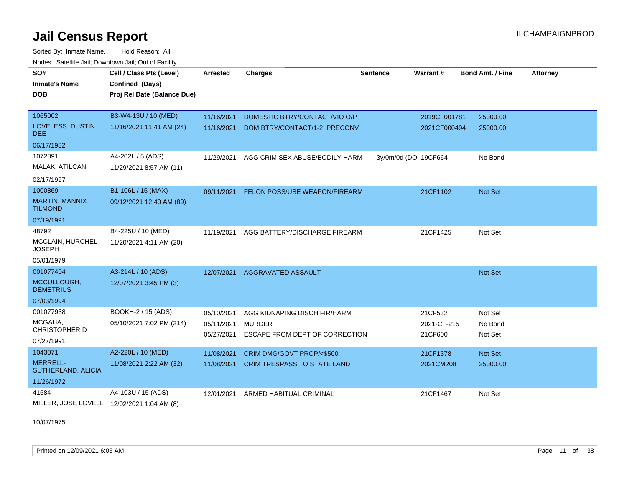Sorted By: Inmate Name, Hold Reason: All Nodes: Satellite Jail; Downtown Jail; Out of Facility

| SO#                                     | Cell / Class Pts (Level)                   | <b>Arrested</b> | <b>Charges</b>                           | <b>Sentence</b> | Warrant#              | <b>Bond Amt. / Fine</b> | <b>Attorney</b> |
|-----------------------------------------|--------------------------------------------|-----------------|------------------------------------------|-----------------|-----------------------|-------------------------|-----------------|
| <b>Inmate's Name</b>                    | Confined (Days)                            |                 |                                          |                 |                       |                         |                 |
| <b>DOB</b>                              | Proj Rel Date (Balance Due)                |                 |                                          |                 |                       |                         |                 |
|                                         |                                            |                 |                                          |                 |                       |                         |                 |
| 1065002                                 | B3-W4-13U / 10 (MED)                       | 11/16/2021      | DOMESTIC BTRY/CONTACT/VIO O/P            |                 | 2019CF001781          | 25000.00                |                 |
| LOVELESS, DUSTIN<br>DEE.                | 11/16/2021 11:41 AM (24)                   | 11/16/2021      | DOM BTRY/CONTACT/1-2 PRECONV             |                 | 2021CF000494          | 25000.00                |                 |
| 06/17/1982                              |                                            |                 |                                          |                 |                       |                         |                 |
| 1072891                                 | A4-202L / 5 (ADS)                          | 11/29/2021      | AGG CRIM SEX ABUSE/BODILY HARM           |                 | 3y/0m/0d (DO: 19CF664 | No Bond                 |                 |
| MALAK, ATILCAN                          | 11/29/2021 8:57 AM (11)                    |                 |                                          |                 |                       |                         |                 |
| 02/17/1997                              |                                            |                 |                                          |                 |                       |                         |                 |
| 1000869                                 | B1-106L / 15 (MAX)                         |                 | 09/11/2021 FELON POSS/USE WEAPON/FIREARM |                 | 21CF1102              | Not Set                 |                 |
| <b>MARTIN, MANNIX</b><br><b>TILMOND</b> | 09/12/2021 12:40 AM (89)                   |                 |                                          |                 |                       |                         |                 |
| 07/19/1991                              |                                            |                 |                                          |                 |                       |                         |                 |
| 48792                                   | B4-225U / 10 (MED)                         | 11/19/2021      | AGG BATTERY/DISCHARGE FIREARM            |                 | 21CF1425              | Not Set                 |                 |
| MCCLAIN, HURCHEL<br><b>JOSEPH</b>       | 11/20/2021 4:11 AM (20)                    |                 |                                          |                 |                       |                         |                 |
| 05/01/1979                              |                                            |                 |                                          |                 |                       |                         |                 |
| 001077404                               | A3-214L / 10 (ADS)                         | 12/07/2021      | AGGRAVATED ASSAULT                       |                 |                       | Not Set                 |                 |
| MCCULLOUGH,<br><b>DEMETRIUS</b>         | 12/07/2021 3:45 PM (3)                     |                 |                                          |                 |                       |                         |                 |
| 07/03/1994                              |                                            |                 |                                          |                 |                       |                         |                 |
| 001077938                               | BOOKH-2 / 15 (ADS)                         | 05/10/2021      | AGG KIDNAPING DISCH FIR/HARM             |                 | 21CF532               | Not Set                 |                 |
| MCGAHA,                                 | 05/10/2021 7:02 PM (214)                   | 05/11/2021      | <b>MURDER</b>                            |                 | 2021-CF-215           | No Bond                 |                 |
| <b>CHRISTOPHER D</b>                    |                                            | 05/27/2021      | ESCAPE FROM DEPT OF CORRECTION           |                 | 21CF600               | Not Set                 |                 |
| 07/27/1991                              |                                            |                 |                                          |                 |                       |                         |                 |
| 1043071                                 | A2-220L / 10 (MED)                         | 11/08/2021      | CRIM DMG/GOVT PROP/<\$500                |                 | 21CF1378              | Not Set                 |                 |
| MERRELL-<br>SUTHERLAND, ALICIA          | 11/08/2021 2:22 AM (32)                    | 11/08/2021      | <b>CRIM TRESPASS TO STATE LAND</b>       |                 | 2021CM208             | 25000.00                |                 |
| 11/26/1972                              |                                            |                 |                                          |                 |                       |                         |                 |
| 41584                                   | A4-103U / 15 (ADS)                         | 12/01/2021      | ARMED HABITUAL CRIMINAL                  |                 | 21CF1467              | Not Set                 |                 |
|                                         | MILLER, JOSE LOVELL 12/02/2021 1:04 AM (8) |                 |                                          |                 |                       |                         |                 |

10/07/1975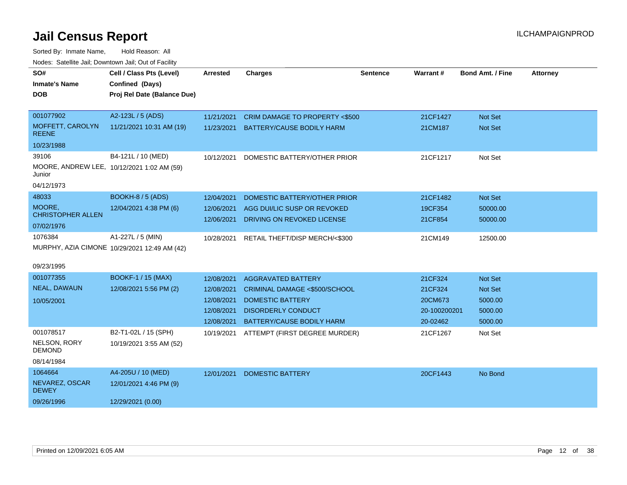| SO#                                                  | Cell / Class Pts (Level)                     | <b>Arrested</b> | <b>Charges</b>                            | <b>Sentence</b> | Warrant#     | <b>Bond Amt. / Fine</b> | <b>Attorney</b> |
|------------------------------------------------------|----------------------------------------------|-----------------|-------------------------------------------|-----------------|--------------|-------------------------|-----------------|
| <b>Inmate's Name</b>                                 | Confined (Days)                              |                 |                                           |                 |              |                         |                 |
| <b>DOB</b>                                           | Proj Rel Date (Balance Due)                  |                 |                                           |                 |              |                         |                 |
|                                                      |                                              |                 |                                           |                 |              |                         |                 |
| 001077902                                            | A2-123L / 5 (ADS)                            | 11/21/2021      | CRIM DAMAGE TO PROPERTY <\$500            |                 | 21CF1427     | Not Set                 |                 |
| MOFFETT, CAROLYN<br><b>REENE</b>                     | 11/21/2021 10:31 AM (19)                     | 11/23/2021      | <b>BATTERY/CAUSE BODILY HARM</b>          |                 | 21CM187      | Not Set                 |                 |
| 10/23/1988                                           |                                              |                 |                                           |                 |              |                         |                 |
| 39106                                                | B4-121L / 10 (MED)                           | 10/12/2021      | DOMESTIC BATTERY/OTHER PRIOR              |                 | 21CF1217     | Not Set                 |                 |
| MOORE, ANDREW LEE, 10/12/2021 1:02 AM (59)<br>Junior |                                              |                 |                                           |                 |              |                         |                 |
| 04/12/1973                                           |                                              |                 |                                           |                 |              |                         |                 |
| 48033                                                | <b>BOOKH-8 / 5 (ADS)</b>                     | 12/04/2021      | DOMESTIC BATTERY/OTHER PRIOR              |                 | 21CF1482     | Not Set                 |                 |
| MOORE,                                               | 12/04/2021 4:38 PM (6)                       | 12/06/2021      | AGG DUI/LIC SUSP OR REVOKED               |                 | 19CF354      | 50000.00                |                 |
| <b>CHRISTOPHER ALLEN</b>                             |                                              | 12/06/2021      | DRIVING ON REVOKED LICENSE                |                 | 21CF854      | 50000.00                |                 |
| 07/02/1976                                           |                                              |                 |                                           |                 |              |                         |                 |
| 1076384                                              | A1-227L / 5 (MIN)                            |                 | 10/28/2021 RETAIL THEFT/DISP MERCH/<\$300 |                 | 21CM149      | 12500.00                |                 |
|                                                      | MURPHY, AZIA CIMONE 10/29/2021 12:49 AM (42) |                 |                                           |                 |              |                         |                 |
| 09/23/1995                                           |                                              |                 |                                           |                 |              |                         |                 |
| 001077355                                            | <b>BOOKF-1 / 15 (MAX)</b>                    | 12/08/2021      | <b>AGGRAVATED BATTERY</b>                 |                 | 21CF324      | Not Set                 |                 |
| NEAL, DAWAUN                                         | 12/08/2021 5:56 PM (2)                       | 12/08/2021      | CRIMINAL DAMAGE <\$500/SCHOOL             |                 | 21CF324      | Not Set                 |                 |
| 10/05/2001                                           |                                              | 12/08/2021      | <b>DOMESTIC BATTERY</b>                   |                 | 20CM673      | 5000.00                 |                 |
|                                                      |                                              | 12/08/2021      | <b>DISORDERLY CONDUCT</b>                 |                 | 20-100200201 | 5000.00                 |                 |
|                                                      |                                              | 12/08/2021      | BATTERY/CAUSE BODILY HARM                 |                 | 20-02462     | 5000.00                 |                 |
| 001078517                                            | B2-T1-02L / 15 (SPH)                         | 10/19/2021      | ATTEMPT (FIRST DEGREE MURDER)             |                 | 21CF1267     | Not Set                 |                 |
| NELSON, RORY<br><b>DEMOND</b>                        | 10/19/2021 3:55 AM (52)                      |                 |                                           |                 |              |                         |                 |
| 08/14/1984                                           |                                              |                 |                                           |                 |              |                         |                 |
| 1064664                                              | A4-205U / 10 (MED)                           | 12/01/2021      | <b>DOMESTIC BATTERY</b>                   |                 | 20CF1443     | No Bond                 |                 |
| NEVAREZ, OSCAR<br><b>DEWEY</b>                       | 12/01/2021 4:46 PM (9)                       |                 |                                           |                 |              |                         |                 |
| 09/26/1996                                           | 12/29/2021 (0.00)                            |                 |                                           |                 |              |                         |                 |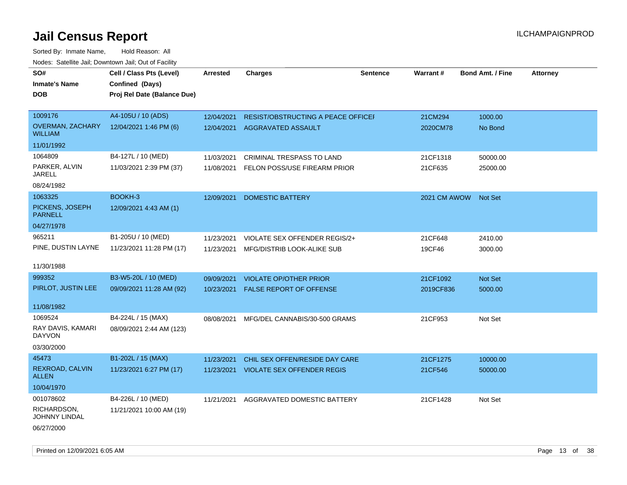| SO#                                       | Cell / Class Pts (Level)    | <b>Arrested</b> | <b>Charges</b>                            | <b>Sentence</b> | Warrant#             | <b>Bond Amt. / Fine</b> | <b>Attorney</b> |
|-------------------------------------------|-----------------------------|-----------------|-------------------------------------------|-----------------|----------------------|-------------------------|-----------------|
| <b>Inmate's Name</b>                      | Confined (Days)             |                 |                                           |                 |                      |                         |                 |
| <b>DOB</b>                                | Proj Rel Date (Balance Due) |                 |                                           |                 |                      |                         |                 |
|                                           |                             |                 |                                           |                 |                      |                         |                 |
| 1009176                                   | A4-105U / 10 (ADS)          | 12/04/2021      | <b>RESIST/OBSTRUCTING A PEACE OFFICEF</b> |                 | 21CM294              | 1000.00                 |                 |
| <b>OVERMAN, ZACHARY</b><br><b>WILLIAM</b> | 12/04/2021 1:46 PM (6)      | 12/04/2021      | AGGRAVATED ASSAULT                        |                 | 2020CM78             | No Bond                 |                 |
| 11/01/1992                                |                             |                 |                                           |                 |                      |                         |                 |
| 1064809                                   | B4-127L / 10 (MED)          | 11/03/2021      | <b>CRIMINAL TRESPASS TO LAND</b>          |                 | 21CF1318             | 50000.00                |                 |
| PARKER, ALVIN<br><b>JARELL</b>            | 11/03/2021 2:39 PM (37)     | 11/08/2021      | FELON POSS/USE FIREARM PRIOR              |                 | 21CF635              | 25000.00                |                 |
| 08/24/1982                                |                             |                 |                                           |                 |                      |                         |                 |
| 1063325                                   | BOOKH-3                     | 12/09/2021      | <b>DOMESTIC BATTERY</b>                   |                 | 2021 CM AWOW Not Set |                         |                 |
| PICKENS, JOSEPH<br><b>PARNELL</b>         | 12/09/2021 4:43 AM (1)      |                 |                                           |                 |                      |                         |                 |
| 04/27/1978                                |                             |                 |                                           |                 |                      |                         |                 |
| 965211                                    | B1-205U / 10 (MED)          | 11/23/2021      | VIOLATE SEX OFFENDER REGIS/2+             |                 | 21CF648              | 2410.00                 |                 |
| PINE, DUSTIN LAYNE                        | 11/23/2021 11:28 PM (17)    | 11/23/2021      | MFG/DISTRIB LOOK-ALIKE SUB                |                 | 19CF46               | 3000.00                 |                 |
|                                           |                             |                 |                                           |                 |                      |                         |                 |
| 11/30/1988                                |                             |                 |                                           |                 |                      |                         |                 |
| 999352                                    | B3-W5-20L / 10 (MED)        | 09/09/2021      | <b>VIOLATE OP/OTHER PRIOR</b>             |                 | 21CF1092             | Not Set                 |                 |
| PIRLOT, JUSTIN LEE                        | 09/09/2021 11:28 AM (92)    | 10/23/2021      | FALSE REPORT OF OFFENSE                   |                 | 2019CF836            | 5000.00                 |                 |
|                                           |                             |                 |                                           |                 |                      |                         |                 |
| 11/08/1982                                |                             |                 |                                           |                 |                      |                         |                 |
| 1069524                                   | B4-224L / 15 (MAX)          | 08/08/2021      | MFG/DEL CANNABIS/30-500 GRAMS             |                 | 21CF953              | Not Set                 |                 |
| RAY DAVIS, KAMARI<br><b>DAYVON</b>        | 08/09/2021 2:44 AM (123)    |                 |                                           |                 |                      |                         |                 |
| 03/30/2000                                |                             |                 |                                           |                 |                      |                         |                 |
| 45473                                     | B1-202L / 15 (MAX)          | 11/23/2021      | CHIL SEX OFFEN/RESIDE DAY CARE            |                 | 21CF1275             | 10000.00                |                 |
| REXROAD, CALVIN<br>ALLEN                  | 11/23/2021 6:27 PM (17)     | 11/23/2021      | <b>VIOLATE SEX OFFENDER REGIS</b>         |                 | 21CF546              | 50000.00                |                 |
| 10/04/1970                                |                             |                 |                                           |                 |                      |                         |                 |
| 001078602                                 | B4-226L / 10 (MED)          | 11/21/2021      | AGGRAVATED DOMESTIC BATTERY               |                 | 21CF1428             | Not Set                 |                 |
| RICHARDSON,<br><b>JOHNNY LINDAL</b>       | 11/21/2021 10:00 AM (19)    |                 |                                           |                 |                      |                         |                 |
| 06/27/2000                                |                             |                 |                                           |                 |                      |                         |                 |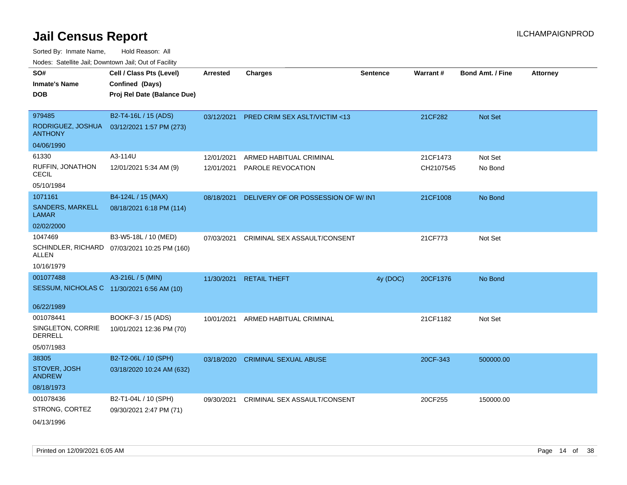| roacs. Catellite Jall, Downtown Jall, Out of Facility |                                              |                 |                                          |                 |           |                         |                 |
|-------------------------------------------------------|----------------------------------------------|-----------------|------------------------------------------|-----------------|-----------|-------------------------|-----------------|
| SO#                                                   | Cell / Class Pts (Level)                     | <b>Arrested</b> | <b>Charges</b>                           | <b>Sentence</b> | Warrant#  | <b>Bond Amt. / Fine</b> | <b>Attorney</b> |
| <b>Inmate's Name</b>                                  | Confined (Days)                              |                 |                                          |                 |           |                         |                 |
| <b>DOB</b>                                            | Proj Rel Date (Balance Due)                  |                 |                                          |                 |           |                         |                 |
|                                                       |                                              |                 |                                          |                 |           |                         |                 |
| 979485                                                | B2-T4-16L / 15 (ADS)                         |                 | 03/12/2021 PRED CRIM SEX ASLT/VICTIM <13 |                 | 21CF282   | Not Set                 |                 |
| RODRIGUEZ, JOSHUA<br><b>ANTHONY</b>                   | 03/12/2021 1:57 PM (273)                     |                 |                                          |                 |           |                         |                 |
| 04/06/1990                                            |                                              |                 |                                          |                 |           |                         |                 |
| 61330                                                 | A3-114U                                      | 12/01/2021      | ARMED HABITUAL CRIMINAL                  |                 | 21CF1473  | Not Set                 |                 |
| RUFFIN, JONATHON<br><b>CECIL</b>                      | 12/01/2021 5:34 AM (9)                       | 12/01/2021      | PAROLE REVOCATION                        |                 | CH2107545 | No Bond                 |                 |
| 05/10/1984                                            |                                              |                 |                                          |                 |           |                         |                 |
| 1071161                                               | B4-124L / 15 (MAX)                           | 08/18/2021      | DELIVERY OF OR POSSESSION OF W/INT       |                 | 21CF1008  | No Bond                 |                 |
| <b>SANDERS, MARKELL</b><br><b>LAMAR</b>               | 08/18/2021 6:18 PM (114)                     |                 |                                          |                 |           |                         |                 |
| 02/02/2000                                            |                                              |                 |                                          |                 |           |                         |                 |
| 1047469                                               | B3-W5-18L / 10 (MED)                         | 07/03/2021      | CRIMINAL SEX ASSAULT/CONSENT             |                 | 21CF773   | Not Set                 |                 |
| ALLEN                                                 | SCHINDLER, RICHARD 07/03/2021 10:25 PM (160) |                 |                                          |                 |           |                         |                 |
| 10/16/1979                                            |                                              |                 |                                          |                 |           |                         |                 |
| 001077488                                             | A3-216L / 5 (MIN)                            | 11/30/2021      | <b>RETAIL THEFT</b>                      | 4y (DOC)        | 20CF1376  | No Bond                 |                 |
|                                                       | SESSUM, NICHOLAS C 11/30/2021 6:56 AM (10)   |                 |                                          |                 |           |                         |                 |
| 06/22/1989                                            |                                              |                 |                                          |                 |           |                         |                 |
| 001078441                                             | BOOKF-3 / 15 (ADS)                           | 10/01/2021      | ARMED HABITUAL CRIMINAL                  |                 | 21CF1182  | Not Set                 |                 |
| SINGLETON, CORRIE<br><b>DERRELL</b>                   | 10/01/2021 12:36 PM (70)                     |                 |                                          |                 |           |                         |                 |
| 05/07/1983                                            |                                              |                 |                                          |                 |           |                         |                 |
| 38305                                                 | B2-T2-06L / 10 (SPH)                         | 03/18/2020      | <b>CRIMINAL SEXUAL ABUSE</b>             |                 | 20CF-343  | 500000.00               |                 |
| STOVER, JOSH<br><b>ANDREW</b>                         | 03/18/2020 10:24 AM (632)                    |                 |                                          |                 |           |                         |                 |
| 08/18/1973                                            |                                              |                 |                                          |                 |           |                         |                 |
| 001078436                                             | B2-T1-04L / 10 (SPH)                         | 09/30/2021      | CRIMINAL SEX ASSAULT/CONSENT             |                 | 20CF255   | 150000.00               |                 |
| STRONG, CORTEZ                                        | 09/30/2021 2:47 PM (71)                      |                 |                                          |                 |           |                         |                 |
| 04/13/1996                                            |                                              |                 |                                          |                 |           |                         |                 |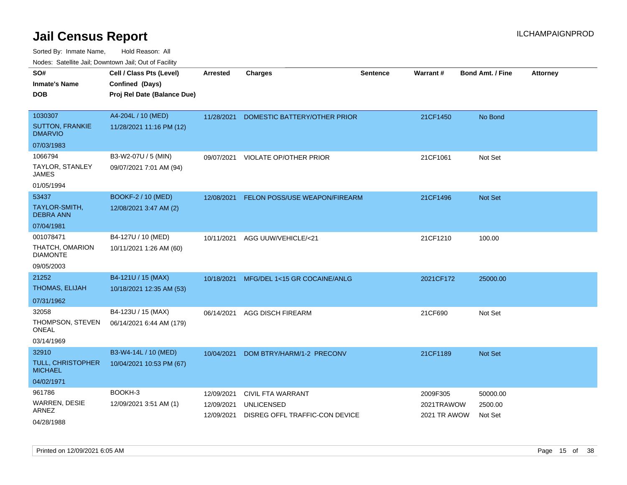| rouco. Calcillo Jali, Downtown Jali, Out of Facility |                                                                            |                          |                                                     |                 |                            |                         |                 |
|------------------------------------------------------|----------------------------------------------------------------------------|--------------------------|-----------------------------------------------------|-----------------|----------------------------|-------------------------|-----------------|
| SO#<br>Inmate's Name<br><b>DOB</b>                   | Cell / Class Pts (Level)<br>Confined (Days)<br>Proj Rel Date (Balance Due) | <b>Arrested</b>          | <b>Charges</b>                                      | <b>Sentence</b> | <b>Warrant#</b>            | <b>Bond Amt. / Fine</b> | <b>Attorney</b> |
| 1030307<br><b>SUTTON, FRANKIE</b>                    | A4-204L / 10 (MED)<br>11/28/2021 11:16 PM (12)                             | 11/28/2021               | DOMESTIC BATTERY/OTHER PRIOR                        |                 | 21CF1450                   | No Bond                 |                 |
| <b>DMARVIO</b>                                       |                                                                            |                          |                                                     |                 |                            |                         |                 |
| 07/03/1983                                           |                                                                            |                          |                                                     |                 |                            |                         |                 |
| 1066794                                              | B3-W2-07U / 5 (MIN)                                                        |                          | 09/07/2021 VIOLATE OP/OTHER PRIOR                   |                 | 21CF1061                   | Not Set                 |                 |
| TAYLOR, STANLEY<br>JAMES                             | 09/07/2021 7:01 AM (94)                                                    |                          |                                                     |                 |                            |                         |                 |
| 01/05/1994                                           |                                                                            |                          |                                                     |                 |                            |                         |                 |
| 53437                                                | BOOKF-2 / 10 (MED)                                                         | 12/08/2021               | <b>FELON POSS/USE WEAPON/FIREARM</b>                |                 | 21CF1496                   | <b>Not Set</b>          |                 |
| TAYLOR-SMITH,<br>DEBRA ANN                           | 12/08/2021 3:47 AM (2)                                                     |                          |                                                     |                 |                            |                         |                 |
| 07/04/1981                                           |                                                                            |                          |                                                     |                 |                            |                         |                 |
| 001078471                                            | B4-127U / 10 (MED)                                                         | 10/11/2021               | AGG UUW/VEHICLE/<21                                 |                 | 21CF1210                   | 100.00                  |                 |
| THATCH, OMARION<br>DIAMONTE                          | 10/11/2021 1:26 AM (60)                                                    |                          |                                                     |                 |                            |                         |                 |
| 09/05/2003                                           |                                                                            |                          |                                                     |                 |                            |                         |                 |
| 21252                                                | B4-121U / 15 (MAX)                                                         | 10/18/2021               | MFG/DEL 1<15 GR COCAINE/ANLG                        |                 | 2021CF172                  | 25000.00                |                 |
| THOMAS, ELIJAH                                       | 10/18/2021 12:35 AM (53)                                                   |                          |                                                     |                 |                            |                         |                 |
| 07/31/1962                                           |                                                                            |                          |                                                     |                 |                            |                         |                 |
| 32058                                                | B4-123U / 15 (MAX)                                                         | 06/14/2021               | <b>AGG DISCH FIREARM</b>                            |                 | 21CF690                    | Not Set                 |                 |
| THOMPSON, STEVEN<br>ONEAL                            | 06/14/2021 6:44 AM (179)                                                   |                          |                                                     |                 |                            |                         |                 |
| 03/14/1969                                           |                                                                            |                          |                                                     |                 |                            |                         |                 |
| 32910                                                | B3-W4-14L / 10 (MED)                                                       | 10/04/2021               | DOM BTRY/HARM/1-2 PRECONV                           |                 | 21CF1189                   | <b>Not Set</b>          |                 |
| TULL, CHRISTOPHER<br><b>MICHAEL</b>                  | 10/04/2021 10:53 PM (67)                                                   |                          |                                                     |                 |                            |                         |                 |
| 04/02/1971                                           |                                                                            |                          |                                                     |                 |                            |                         |                 |
| 961786                                               | BOOKH-3                                                                    | 12/09/2021               | CIVIL FTA WARRANT                                   |                 | 2009F305                   | 50000.00                |                 |
| WARREN, DESIE<br>ARNEZ                               | 12/09/2021 3:51 AM (1)                                                     | 12/09/2021<br>12/09/2021 | <b>UNLICENSED</b><br>DISREG OFFL TRAFFIC-CON DEVICE |                 | 2021TRAWOW<br>2021 TR AWOW | 2500.00<br>Not Set      |                 |
| 04/28/1988                                           |                                                                            |                          |                                                     |                 |                            |                         |                 |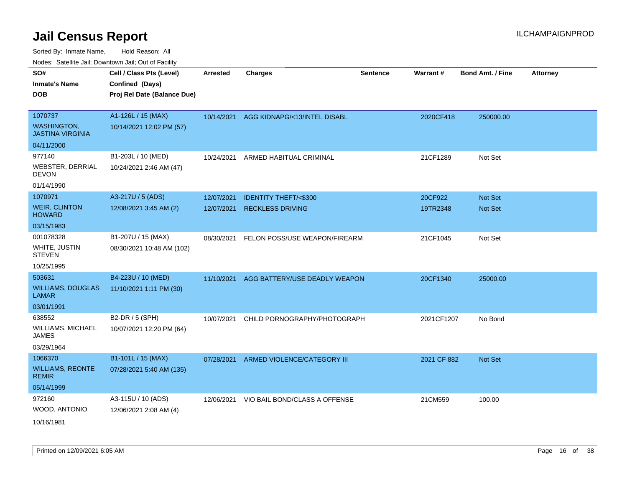| ivouss. Satellite Jali, Downtown Jali, Out of Facility |                             |                 |                                 |                 |             |                         |                 |
|--------------------------------------------------------|-----------------------------|-----------------|---------------------------------|-----------------|-------------|-------------------------|-----------------|
| SO#                                                    | Cell / Class Pts (Level)    | <b>Arrested</b> | <b>Charges</b>                  | <b>Sentence</b> | Warrant#    | <b>Bond Amt. / Fine</b> | <b>Attorney</b> |
| Inmate's Name                                          | Confined (Days)             |                 |                                 |                 |             |                         |                 |
| <b>DOB</b>                                             | Proj Rel Date (Balance Due) |                 |                                 |                 |             |                         |                 |
|                                                        |                             |                 |                                 |                 |             |                         |                 |
| 1070737                                                | A1-126L / 15 (MAX)          | 10/14/2021      | AGG KIDNAPG/<13/INTEL DISABL    |                 | 2020CF418   | 250000.00               |                 |
| <b>WASHINGTON</b><br><b>JASTINA VIRGINIA</b>           | 10/14/2021 12:02 PM (57)    |                 |                                 |                 |             |                         |                 |
| 04/11/2000                                             |                             |                 |                                 |                 |             |                         |                 |
| 977140                                                 | B1-203L / 10 (MED)          | 10/24/2021      | ARMED HABITUAL CRIMINAL         |                 | 21CF1289    | Not Set                 |                 |
| WEBSTER, DERRIAL<br>DEVON                              | 10/24/2021 2:46 AM (47)     |                 |                                 |                 |             |                         |                 |
| 01/14/1990                                             |                             |                 |                                 |                 |             |                         |                 |
| 1070971                                                | A3-217U / 5 (ADS)           | 12/07/2021      | <b>IDENTITY THEFT/&lt;\$300</b> |                 | 20CF922     | <b>Not Set</b>          |                 |
| <b>WEIR, CLINTON</b><br><b>HOWARD</b>                  | 12/08/2021 3:45 AM (2)      | 12/07/2021      | <b>RECKLESS DRIVING</b>         |                 | 19TR2348    | <b>Not Set</b>          |                 |
| 03/15/1983                                             |                             |                 |                                 |                 |             |                         |                 |
| 001078328                                              | B1-207U / 15 (MAX)          | 08/30/2021      | FELON POSS/USE WEAPON/FIREARM   |                 | 21CF1045    | Not Set                 |                 |
| WHITE, JUSTIN<br>STEVEN                                | 08/30/2021 10:48 AM (102)   |                 |                                 |                 |             |                         |                 |
| 10/25/1995                                             |                             |                 |                                 |                 |             |                         |                 |
| 503631                                                 | B4-223U / 10 (MED)          | 11/10/2021      | AGG BATTERY/USE DEADLY WEAPON   |                 | 20CF1340    | 25000.00                |                 |
| <b>WILLIAMS, DOUGLAS</b><br>LAMAR                      | 11/10/2021 1:11 PM (30)     |                 |                                 |                 |             |                         |                 |
| 03/01/1991                                             |                             |                 |                                 |                 |             |                         |                 |
| 638552                                                 | B2-DR / 5 (SPH)             | 10/07/2021      | CHILD PORNOGRAPHY/PHOTOGRAPH    |                 | 2021CF1207  | No Bond                 |                 |
| WILLIAMS, MICHAEL<br>JAMES                             | 10/07/2021 12:20 PM (64)    |                 |                                 |                 |             |                         |                 |
| 03/29/1964                                             |                             |                 |                                 |                 |             |                         |                 |
| 1066370                                                | B1-101L / 15 (MAX)          | 07/28/2021      | ARMED VIOLENCE/CATEGORY III     |                 | 2021 CF 882 | <b>Not Set</b>          |                 |
| <b>WILLIAMS, REONTE</b><br>REMIR                       | 07/28/2021 5:40 AM (135)    |                 |                                 |                 |             |                         |                 |
| 05/14/1999                                             |                             |                 |                                 |                 |             |                         |                 |
| 972160                                                 | A3-115U / 10 (ADS)          | 12/06/2021      | VIO BAIL BOND/CLASS A OFFENSE   |                 | 21CM559     | 100.00                  |                 |
| WOOD, ANTONIO                                          | 12/06/2021 2:08 AM (4)      |                 |                                 |                 |             |                         |                 |
| 10/16/1981                                             |                             |                 |                                 |                 |             |                         |                 |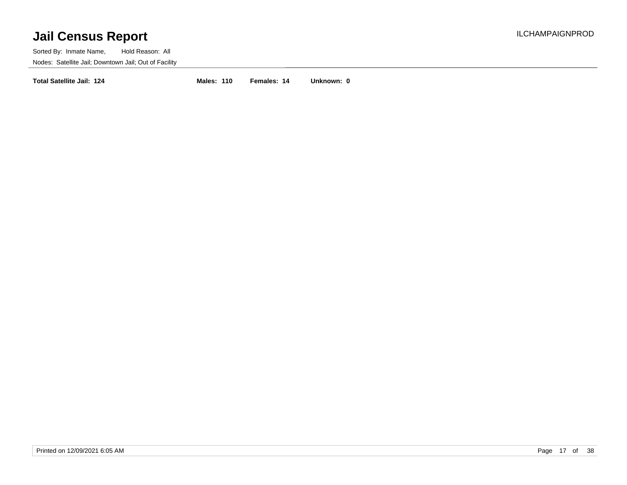Sorted By: Inmate Name, Hold Reason: All Nodes: Satellite Jail; Downtown Jail; Out of Facility

**Total Satellite Jail: 124 Males: 110 Females: 14 Unknown: 0**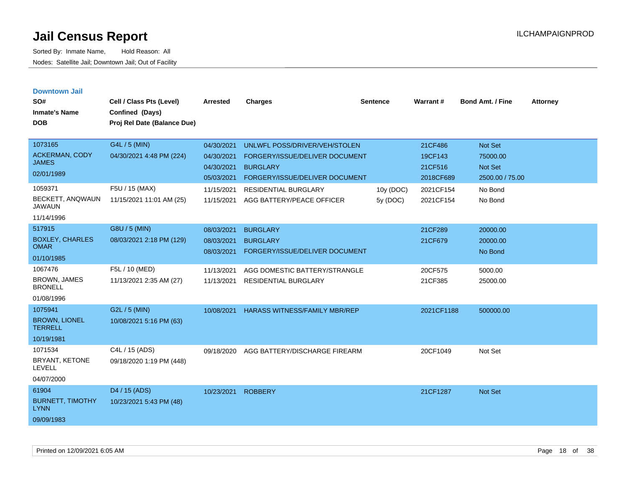| <b>Downtown Jail</b><br>SO#<br><b>Inmate's Name</b><br><b>DOB</b>                             | Cell / Class Pts (Level)<br>Confined (Days)<br>Proj Rel Date (Balance Due)              | <b>Arrested</b>                                                                  | <b>Charges</b>                                                                                                                                                                   | <b>Sentence</b>       | Warrant#                                                             | <b>Bond Amt. / Fine</b>                                                 | <b>Attorney</b> |
|-----------------------------------------------------------------------------------------------|-----------------------------------------------------------------------------------------|----------------------------------------------------------------------------------|----------------------------------------------------------------------------------------------------------------------------------------------------------------------------------|-----------------------|----------------------------------------------------------------------|-------------------------------------------------------------------------|-----------------|
| 1073165<br><b>ACKERMAN, CODY</b><br><b>JAMES</b><br>02/01/1989<br>1059371<br>BECKETT, ANQWAUN | G4L / 5 (MIN)<br>04/30/2021 4:48 PM (224)<br>F5U / 15 (MAX)<br>11/15/2021 11:01 AM (25) | 04/30/2021<br>04/30/2021<br>04/30/2021<br>05/03/2021<br>11/15/2021<br>11/15/2021 | UNLWFL POSS/DRIVER/VEH/STOLEN<br>FORGERY/ISSUE/DELIVER DOCUMENT<br><b>BURGLARY</b><br>FORGERY/ISSUE/DELIVER DOCUMENT<br><b>RESIDENTIAL BURGLARY</b><br>AGG BATTERY/PEACE OFFICER | 10y (DOC)<br>5y (DOC) | 21CF486<br>19CF143<br>21CF516<br>2018CF689<br>2021CF154<br>2021CF154 | Not Set<br>75000.00<br>Not Set<br>2500.00 / 75.00<br>No Bond<br>No Bond |                 |
| <b>JAWAUN</b><br>11/14/1996                                                                   |                                                                                         |                                                                                  |                                                                                                                                                                                  |                       |                                                                      |                                                                         |                 |
| 517915<br><b>BOXLEY, CHARLES</b><br><b>OMAR</b><br>01/10/1985                                 | G8U / 5 (MIN)<br>08/03/2021 2:18 PM (129)                                               | 08/03/2021<br>08/03/2021<br>08/03/2021                                           | <b>BURGLARY</b><br><b>BURGLARY</b><br>FORGERY/ISSUE/DELIVER DOCUMENT                                                                                                             |                       | 21CF289<br>21CF679                                                   | 20000.00<br>20000.00<br>No Bond                                         |                 |
| 1067476<br><b>BROWN, JAMES</b><br><b>BRONELL</b><br>01/08/1996                                | F5L / 10 (MED)<br>11/13/2021 2:35 AM (27)                                               | 11/13/2021<br>11/13/2021                                                         | AGG DOMESTIC BATTERY/STRANGLE<br><b>RESIDENTIAL BURGLARY</b>                                                                                                                     |                       | 20CF575<br>21CF385                                                   | 5000.00<br>25000.00                                                     |                 |
| 1075941<br><b>BROWN, LIONEL</b><br><b>TERRELL</b><br>10/19/1981                               | G2L / 5 (MIN)<br>10/08/2021 5:16 PM (63)                                                | 10/08/2021                                                                       | <b>HARASS WITNESS/FAMILY MBR/REP</b>                                                                                                                                             |                       | 2021CF1188                                                           | 500000.00                                                               |                 |
| 1071534<br>BRYANT, KETONE<br><b>LEVELL</b><br>04/07/2000                                      | C4L / 15 (ADS)<br>09/18/2020 1:19 PM (448)                                              | 09/18/2020                                                                       | AGG BATTERY/DISCHARGE FIREARM                                                                                                                                                    |                       | 20CF1049                                                             | Not Set                                                                 |                 |
| 61904<br><b>BURNETT, TIMOTHY</b><br><b>LYNN</b><br>09/09/1983                                 | D <sub>4</sub> / 15 (ADS)<br>10/23/2021 5:43 PM (48)                                    | 10/23/2021                                                                       | <b>ROBBERY</b>                                                                                                                                                                   |                       | 21CF1287                                                             | <b>Not Set</b>                                                          |                 |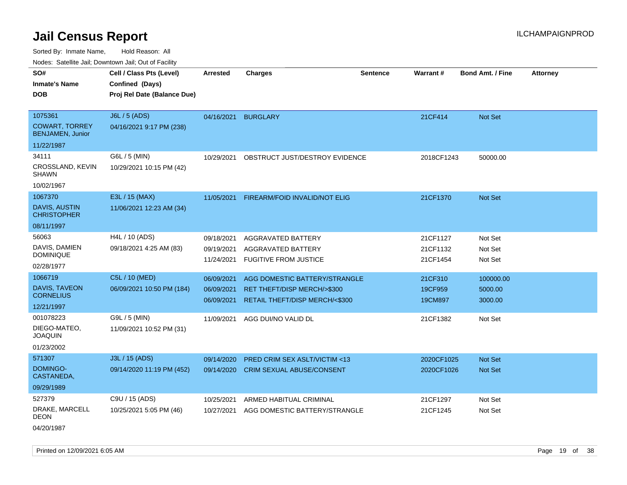Sorted By: Inmate Name, Hold Reason: All

Nodes: Satellite Jail; Downtown Jail; Out of Facility

| SO#<br><b>Inmate's Name</b><br><b>DOB</b>                              | Cell / Class Pts (Level)<br>Confined (Days)<br>Proj Rel Date (Balance Due) | <b>Arrested</b>                        | <b>Charges</b>                                                                                 | <b>Sentence</b> | Warrant#                         | <b>Bond Amt. / Fine</b>         | <b>Attorney</b> |
|------------------------------------------------------------------------|----------------------------------------------------------------------------|----------------------------------------|------------------------------------------------------------------------------------------------|-----------------|----------------------------------|---------------------------------|-----------------|
|                                                                        |                                                                            |                                        |                                                                                                |                 |                                  |                                 |                 |
| 1075361<br><b>COWART, TORREY</b><br>BENJAMEN, Junior                   | J6L / 5 (ADS)<br>04/16/2021 9:17 PM (238)                                  | 04/16/2021                             | <b>BURGLARY</b>                                                                                |                 | 21CF414                          | Not Set                         |                 |
| 11/22/1987                                                             |                                                                            |                                        |                                                                                                |                 |                                  |                                 |                 |
| 34111<br>CROSSLAND, KEVIN<br><b>SHAWN</b><br>10/02/1967                | G6L / 5 (MIN)<br>10/29/2021 10:15 PM (42)                                  | 10/29/2021                             | OBSTRUCT JUST/DESTROY EVIDENCE                                                                 |                 | 2018CF1243                       | 50000.00                        |                 |
| 1067370<br>DAVIS, AUSTIN<br><b>CHRISTOPHER</b>                         | E3L / 15 (MAX)<br>11/06/2021 12:23 AM (34)                                 | 11/05/2021                             | FIREARM/FOID INVALID/NOT ELIG                                                                  |                 | 21CF1370                         | <b>Not Set</b>                  |                 |
| 08/11/1997<br>56063<br>DAVIS, DAMIEN<br><b>DOMINIQUE</b><br>02/28/1977 | H4L / 10 (ADS)<br>09/18/2021 4:25 AM (83)                                  | 09/18/2021<br>09/19/2021<br>11/24/2021 | AGGRAVATED BATTERY<br><b>AGGRAVATED BATTERY</b><br><b>FUGITIVE FROM JUSTICE</b>                |                 | 21CF1127<br>21CF1132<br>21CF1454 | Not Set<br>Not Set<br>Not Set   |                 |
| 1066719<br>DAVIS, TAVEON<br><b>CORNELIUS</b><br>12/21/1997             | C5L / 10 (MED)<br>06/09/2021 10:50 PM (184)                                | 06/09/2021<br>06/09/2021<br>06/09/2021 | AGG DOMESTIC BATTERY/STRANGLE<br>RET THEFT/DISP MERCH/>\$300<br>RETAIL THEFT/DISP MERCH/<\$300 |                 | 21CF310<br>19CF959<br>19CM897    | 100000.00<br>5000.00<br>3000.00 |                 |
| 001078223<br>DIEGO-MATEO.<br><b>JOAQUIN</b><br>01/23/2002              | G9L / 5 (MIN)<br>11/09/2021 10:52 PM (31)                                  | 11/09/2021                             | AGG DUI/NO VALID DL                                                                            |                 | 21CF1382                         | Not Set                         |                 |
| 571307<br>DOMINGO-<br>CASTANEDA,<br>09/29/1989                         | J3L / 15 (ADS)<br>09/14/2020 11:19 PM (452)                                | 09/14/2020<br>09/14/2020               | <b>PRED CRIM SEX ASLT/VICTIM &lt;13</b><br>CRIM SEXUAL ABUSE/CONSENT                           |                 | 2020CF1025<br>2020CF1026         | <b>Not Set</b><br>Not Set       |                 |
| 527379<br>DRAKE, MARCELL<br><b>DEON</b>                                | C9U / 15 (ADS)<br>10/25/2021 5:05 PM (46)                                  | 10/25/2021<br>10/27/2021               | ARMED HABITUAL CRIMINAL<br>AGG DOMESTIC BATTERY/STRANGLE                                       |                 | 21CF1297<br>21CF1245             | Not Set<br>Not Set              |                 |

04/20/1987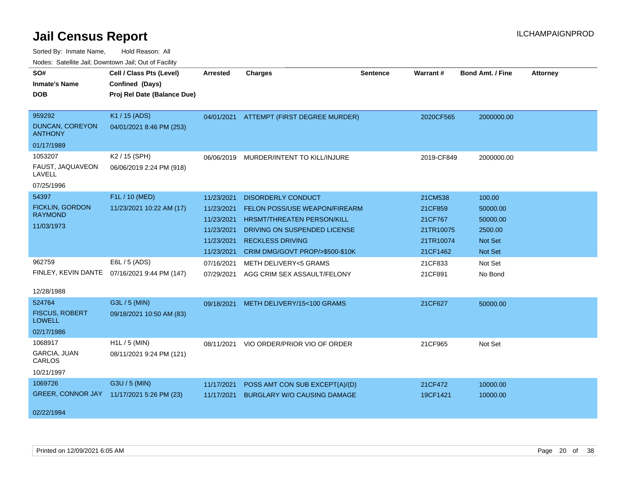| ivuutis. Galtiillit Jall, Duwilluwii Jall, Oul of Facility |                             |                 |                                          |                 |            |                         |                 |
|------------------------------------------------------------|-----------------------------|-----------------|------------------------------------------|-----------------|------------|-------------------------|-----------------|
| SO#                                                        | Cell / Class Pts (Level)    | <b>Arrested</b> | <b>Charges</b>                           | <b>Sentence</b> | Warrant#   | <b>Bond Amt. / Fine</b> | <b>Attorney</b> |
| <b>Inmate's Name</b>                                       | Confined (Days)             |                 |                                          |                 |            |                         |                 |
| <b>DOB</b>                                                 | Proj Rel Date (Balance Due) |                 |                                          |                 |            |                         |                 |
|                                                            |                             |                 |                                          |                 |            |                         |                 |
| 959292                                                     | K1 / 15 (ADS)               |                 | 04/01/2021 ATTEMPT (FIRST DEGREE MURDER) |                 | 2020CF565  | 2000000.00              |                 |
| <b>DUNCAN, COREYON</b><br><b>ANTHONY</b>                   | 04/01/2021 8:46 PM (253)    |                 |                                          |                 |            |                         |                 |
| 01/17/1989                                                 |                             |                 |                                          |                 |            |                         |                 |
| 1053207                                                    | K2 / 15 (SPH)               | 06/06/2019      | MURDER/INTENT TO KILL/INJURE             |                 | 2019-CF849 | 2000000.00              |                 |
| FAUST, JAQUAVEON<br>LAVELL                                 | 06/06/2019 2:24 PM (918)    |                 |                                          |                 |            |                         |                 |
| 07/25/1996                                                 |                             |                 |                                          |                 |            |                         |                 |
| 54397                                                      | F1L / 10 (MED)              | 11/23/2021      | <b>DISORDERLY CONDUCT</b>                |                 | 21CM538    | 100.00                  |                 |
| <b>FICKLIN, GORDON</b>                                     | 11/23/2021 10:22 AM (17)    | 11/23/2021      | FELON POSS/USE WEAPON/FIREARM            |                 | 21CF859    | 50000.00                |                 |
| <b>RAYMOND</b>                                             |                             | 11/23/2021      | <b>HRSMT/THREATEN PERSON/KILL</b>        |                 | 21CF767    | 50000.00                |                 |
| 11/03/1973                                                 |                             | 11/23/2021      | DRIVING ON SUSPENDED LICENSE             |                 | 21TR10075  | 2500.00                 |                 |
|                                                            |                             | 11/23/2021      | <b>RECKLESS DRIVING</b>                  |                 | 21TR10074  | <b>Not Set</b>          |                 |
|                                                            |                             | 11/23/2021      | CRIM DMG/GOVT PROP/>\$500-\$10K          |                 | 21CF1462   | Not Set                 |                 |
| 962759                                                     | E6L / 5 (ADS)               | 07/16/2021      | METH DELIVERY<5 GRAMS                    |                 | 21CF833    | Not Set                 |                 |
| FINLEY, KEVIN DANTE                                        | 07/16/2021 9:44 PM (147)    | 07/29/2021      | AGG CRIM SEX ASSAULT/FELONY              |                 | 21CF891    | No Bond                 |                 |
| 12/28/1988                                                 |                             |                 |                                          |                 |            |                         |                 |
| 524764                                                     | G3L / 5 (MIN)               |                 |                                          |                 |            |                         |                 |
| <b>FISCUS, ROBERT</b>                                      |                             | 09/18/2021      | METH DELIVERY/15<100 GRAMS               |                 | 21CF627    | 50000.00                |                 |
| <b>LOWELL</b>                                              | 09/18/2021 10:50 AM (83)    |                 |                                          |                 |            |                         |                 |
| 02/17/1986                                                 |                             |                 |                                          |                 |            |                         |                 |
| 1068917                                                    | $H1L / 5$ (MIN)             | 08/11/2021      | VIO ORDER/PRIOR VIO OF ORDER             |                 | 21CF965    | Not Set                 |                 |
| GARCIA, JUAN<br>CARLOS                                     | 08/11/2021 9:24 PM (121)    |                 |                                          |                 |            |                         |                 |
| 10/21/1997                                                 |                             |                 |                                          |                 |            |                         |                 |
| 1069726                                                    | G3U / 5 (MIN)               | 11/17/2021      | POSS AMT CON SUB EXCEPT(A)/(D)           |                 | 21CF472    | 10000.00                |                 |
| <b>GREER, CONNOR JAY</b>                                   | 11/17/2021 5:26 PM (23)     | 11/17/2021      | <b>BURGLARY W/O CAUSING DAMAGE</b>       |                 | 19CF1421   | 10000.00                |                 |
|                                                            |                             |                 |                                          |                 |            |                         |                 |
| 02/22/1994                                                 |                             |                 |                                          |                 |            |                         |                 |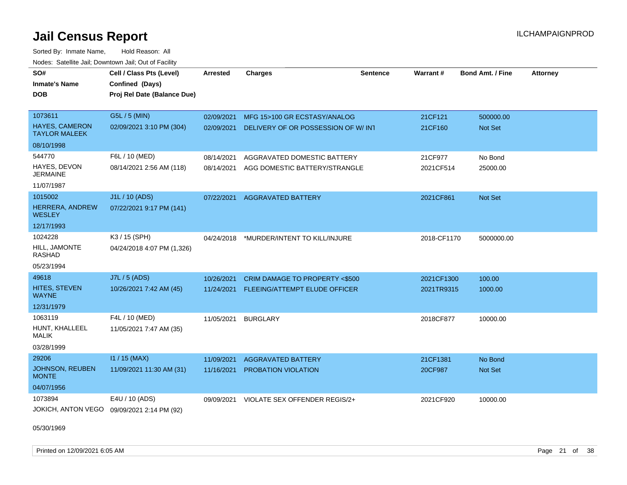Sorted By: Inmate Name, Hold Reason: All

| Nodes: Satellite Jail; Downtown Jail; Out of Facility |                             |                 |                                          |                 |             |                  |                 |  |
|-------------------------------------------------------|-----------------------------|-----------------|------------------------------------------|-----------------|-------------|------------------|-----------------|--|
| SO#                                                   | Cell / Class Pts (Level)    | <b>Arrested</b> | <b>Charges</b>                           | <b>Sentence</b> | Warrant#    | Bond Amt. / Fine | <b>Attorney</b> |  |
| <b>Inmate's Name</b>                                  | Confined (Days)             |                 |                                          |                 |             |                  |                 |  |
| <b>DOB</b>                                            | Proj Rel Date (Balance Due) |                 |                                          |                 |             |                  |                 |  |
|                                                       |                             |                 |                                          |                 |             |                  |                 |  |
| 1073611                                               | G5L / 5 (MIN)               | 02/09/2021      | MFG 15>100 GR ECSTASY/ANALOG             |                 | 21CF121     | 500000.00        |                 |  |
| <b>HAYES, CAMERON</b><br><b>TAYLOR MALEEK</b>         | 02/09/2021 3:10 PM (304)    | 02/09/2021      | DELIVERY OF OR POSSESSION OF W/INT       |                 | 21CF160     | Not Set          |                 |  |
| 08/10/1998                                            |                             |                 |                                          |                 |             |                  |                 |  |
| 544770                                                | F6L / 10 (MED)              | 08/14/2021      | AGGRAVATED DOMESTIC BATTERY              |                 | 21CF977     | No Bond          |                 |  |
| HAYES, DEVON<br><b>JERMAINE</b>                       | 08/14/2021 2:56 AM (118)    | 08/14/2021      | AGG DOMESTIC BATTERY/STRANGLE            |                 | 2021CF514   | 25000.00         |                 |  |
| 11/07/1987                                            |                             |                 |                                          |                 |             |                  |                 |  |
| 1015002                                               | J1L / 10 (ADS)              | 07/22/2021      | <b>AGGRAVATED BATTERY</b>                |                 | 2021CF861   | Not Set          |                 |  |
| HERRERA, ANDREW<br><b>WESLEY</b>                      | 07/22/2021 9:17 PM (141)    |                 |                                          |                 |             |                  |                 |  |
| 12/17/1993                                            |                             |                 |                                          |                 |             |                  |                 |  |
| 1024228                                               | K3 / 15 (SPH)               | 04/24/2018      | *MURDER/INTENT TO KILL/INJURE            |                 | 2018-CF1170 | 5000000.00       |                 |  |
| HILL, JAMONTE<br><b>RASHAD</b>                        | 04/24/2018 4:07 PM (1,326)  |                 |                                          |                 |             |                  |                 |  |
| 05/23/1994                                            |                             |                 |                                          |                 |             |                  |                 |  |
| 49618                                                 | J7L / 5 (ADS)               | 10/26/2021      | CRIM DAMAGE TO PROPERTY <\$500           |                 | 2021CF1300  | 100.00           |                 |  |
| <b>HITES, STEVEN</b><br><b>WAYNE</b>                  | 10/26/2021 7:42 AM (45)     |                 | 11/24/2021 FLEEING/ATTEMPT ELUDE OFFICER |                 | 2021TR9315  | 1000.00          |                 |  |
| 12/31/1979                                            |                             |                 |                                          |                 |             |                  |                 |  |
| 1063119                                               | F4L / 10 (MED)              | 11/05/2021      | <b>BURGLARY</b>                          |                 | 2018CF877   | 10000.00         |                 |  |
| HUNT, KHALLEEL<br>MALIK                               | 11/05/2021 7:47 AM (35)     |                 |                                          |                 |             |                  |                 |  |
| 03/28/1999                                            |                             |                 |                                          |                 |             |                  |                 |  |
| 29206                                                 | $11 / 15$ (MAX)             | 11/09/2021      | <b>AGGRAVATED BATTERY</b>                |                 | 21CF1381    | No Bond          |                 |  |
| JOHNSON, REUBEN<br><b>MONTE</b>                       | 11/09/2021 11:30 AM (31)    | 11/16/2021      | PROBATION VIOLATION                      |                 | 20CF987     | Not Set          |                 |  |
| 04/07/1956                                            |                             |                 |                                          |                 |             |                  |                 |  |
| 1073894                                               | E4U / 10 (ADS)              | 09/09/2021      | VIOLATE SEX OFFENDER REGIS/2+            |                 | 2021CF920   | 10000.00         |                 |  |
| JOKICH, ANTON VEGO                                    | 09/09/2021 2:14 PM (92)     |                 |                                          |                 |             |                  |                 |  |

05/30/1969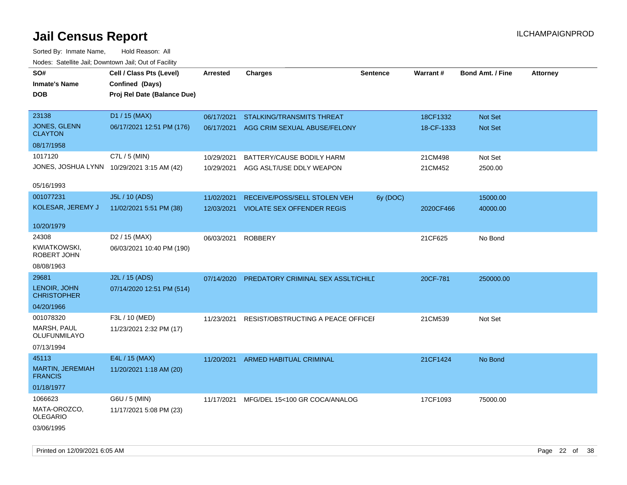Sorted By: Inmate Name, Hold Reason: All Nodes: Satellite Jail; Downtown Jail; Out of Facility

| Todoo. Catolino can, Bowritown can, Oat or I domt<br>SO#<br><b>Inmate's Name</b><br><b>DOB</b> | Cell / Class Pts (Level)<br>Confined (Days)<br>Proj Rel Date (Balance Due) | Arrested   | <b>Charges</b>                     | <b>Sentence</b> | <b>Warrant#</b> | <b>Bond Amt. / Fine</b> | <b>Attorney</b> |
|------------------------------------------------------------------------------------------------|----------------------------------------------------------------------------|------------|------------------------------------|-----------------|-----------------|-------------------------|-----------------|
| 23138                                                                                          | D1 / 15 (MAX)                                                              | 06/17/2021 | <b>STALKING/TRANSMITS THREAT</b>   |                 | 18CF1332        | <b>Not Set</b>          |                 |
| <b>JONES, GLENN</b><br><b>CLAYTON</b>                                                          | 06/17/2021 12:51 PM (176)                                                  | 06/17/2021 | AGG CRIM SEXUAL ABUSE/FELONY       |                 | 18-CF-1333      | Not Set                 |                 |
| 08/17/1958                                                                                     |                                                                            |            |                                    |                 |                 |                         |                 |
| 1017120                                                                                        | C7L / 5 (MIN)                                                              | 10/29/2021 | BATTERY/CAUSE BODILY HARM          |                 | 21CM498         | Not Set                 |                 |
|                                                                                                | JONES, JOSHUA LYNN 10/29/2021 3:15 AM (42)                                 | 10/29/2021 | AGG ASLT/USE DDLY WEAPON           |                 | 21CM452         | 2500.00                 |                 |
| 05/16/1993                                                                                     |                                                                            |            |                                    |                 |                 |                         |                 |
| 001077231                                                                                      | J5L / 10 (ADS)                                                             | 11/02/2021 | RECEIVE/POSS/SELL STOLEN VEH       | 6y (DOC)        |                 | 15000.00                |                 |
| KOLESAR, JEREMY J                                                                              | 11/02/2021 5:51 PM (38)                                                    | 12/03/2021 | VIOLATE SEX OFFENDER REGIS         |                 | 2020CF466       | 40000.00                |                 |
| 10/20/1979                                                                                     |                                                                            |            |                                    |                 |                 |                         |                 |
| 24308                                                                                          | D <sub>2</sub> / 15 (MAX)                                                  | 06/03/2021 | <b>ROBBERY</b>                     |                 | 21CF625         | No Bond                 |                 |
| KWIATKOWSKI,<br>ROBERT JOHN                                                                    | 06/03/2021 10:40 PM (190)                                                  |            |                                    |                 |                 |                         |                 |
| 08/08/1963                                                                                     |                                                                            |            |                                    |                 |                 |                         |                 |
| 29681                                                                                          | J2L / 15 (ADS)                                                             | 07/14/2020 | PREDATORY CRIMINAL SEX ASSLT/CHILD |                 | 20CF-781        | 250000.00               |                 |
| LENOIR, JOHN<br><b>CHRISTOPHER</b>                                                             | 07/14/2020 12:51 PM (514)                                                  |            |                                    |                 |                 |                         |                 |
| 04/20/1966                                                                                     |                                                                            |            |                                    |                 |                 |                         |                 |
| 001078320                                                                                      | F3L / 10 (MED)                                                             | 11/23/2021 | RESIST/OBSTRUCTING A PEACE OFFICEF |                 | 21CM539         | Not Set                 |                 |
| MARSH, PAUL<br>OLUFUNMILAYO                                                                    | 11/23/2021 2:32 PM (17)                                                    |            |                                    |                 |                 |                         |                 |
| 07/13/1994                                                                                     |                                                                            |            |                                    |                 |                 |                         |                 |
| 45113                                                                                          | E4L / 15 (MAX)                                                             | 11/20/2021 | ARMED HABITUAL CRIMINAL            |                 | 21CF1424        | No Bond                 |                 |
| MARTIN, JEREMIAH<br><b>FRANCIS</b>                                                             | 11/20/2021 1:18 AM (20)                                                    |            |                                    |                 |                 |                         |                 |
| 01/18/1977                                                                                     |                                                                            |            |                                    |                 |                 |                         |                 |
| 1066623                                                                                        | G6U / 5 (MIN)                                                              | 11/17/2021 | MFG/DEL 15<100 GR COCA/ANALOG      |                 | 17CF1093        | 75000.00                |                 |
| MATA-OROZCO,<br><b>OLEGARIO</b><br>03/06/1995                                                  | 11/17/2021 5:08 PM (23)                                                    |            |                                    |                 |                 |                         |                 |
|                                                                                                |                                                                            |            |                                    |                 |                 |                         |                 |

Printed on 12/09/2021 6:05 AM Page 22 of 38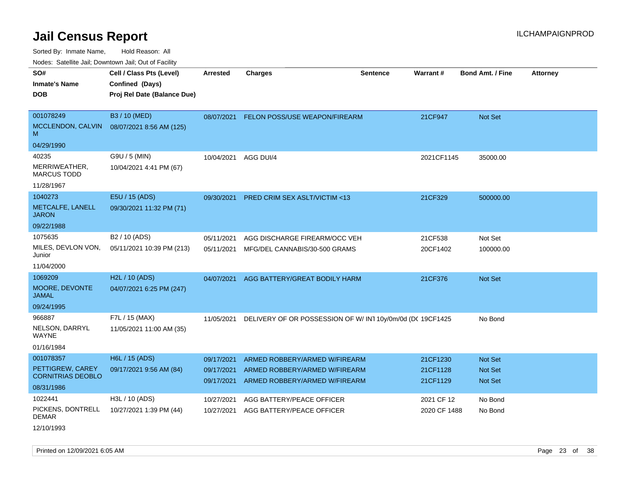Sorted By: Inmate Name, Hold Reason: All Nodes: Satellite Jail; Downtown Jail; Out of Facility

| Noues. Sateme Jan, Downtown Jan, Out or Facility |                             |                 |                                                          |          |              |                         |                 |
|--------------------------------------------------|-----------------------------|-----------------|----------------------------------------------------------|----------|--------------|-------------------------|-----------------|
| SO#                                              | Cell / Class Pts (Level)    | <b>Arrested</b> | <b>Charges</b>                                           | Sentence | Warrant#     | <b>Bond Amt. / Fine</b> | <b>Attorney</b> |
| <b>Inmate's Name</b>                             | Confined (Days)             |                 |                                                          |          |              |                         |                 |
| <b>DOB</b>                                       | Proj Rel Date (Balance Due) |                 |                                                          |          |              |                         |                 |
|                                                  |                             |                 |                                                          |          |              |                         |                 |
| 001078249                                        | B3 / 10 (MED)               | 08/07/2021      | FELON POSS/USE WEAPON/FIREARM                            |          | 21CF947      | <b>Not Set</b>          |                 |
| MCCLENDON, CALVIN<br>M                           | 08/07/2021 8:56 AM (125)    |                 |                                                          |          |              |                         |                 |
| 04/29/1990                                       |                             |                 |                                                          |          |              |                         |                 |
| 40235                                            | G9U / 5 (MIN)               | 10/04/2021      | AGG DUI/4                                                |          | 2021CF1145   | 35000.00                |                 |
| MERRIWEATHER,<br><b>MARCUS TODD</b>              | 10/04/2021 4:41 PM (67)     |                 |                                                          |          |              |                         |                 |
| 11/28/1967                                       |                             |                 |                                                          |          |              |                         |                 |
| 1040273                                          | E5U / 15 (ADS)              | 09/30/2021      | <b>PRED CRIM SEX ASLT/VICTIM &lt;13</b>                  |          | 21CF329      | 500000.00               |                 |
| METCALFE, LANELL<br><b>JARON</b>                 | 09/30/2021 11:32 PM (71)    |                 |                                                          |          |              |                         |                 |
| 09/22/1988                                       |                             |                 |                                                          |          |              |                         |                 |
| 1075635                                          | B <sub>2</sub> / 10 (ADS)   | 05/11/2021      | AGG DISCHARGE FIREARM/OCC VEH                            |          | 21CF538      | Not Set                 |                 |
| MILES, DEVLON VON,<br>Junior                     | 05/11/2021 10:39 PM (213)   | 05/11/2021      | MFG/DEL CANNABIS/30-500 GRAMS                            |          | 20CF1402     | 100000.00               |                 |
| 11/04/2000                                       |                             |                 |                                                          |          |              |                         |                 |
| 1069209                                          | H2L / 10 (ADS)              | 04/07/2021      | AGG BATTERY/GREAT BODILY HARM                            |          | 21CF376      | Not Set                 |                 |
| MOORE, DEVONTE<br>JAMAL                          | 04/07/2021 6:25 PM (247)    |                 |                                                          |          |              |                         |                 |
| 09/24/1995                                       |                             |                 |                                                          |          |              |                         |                 |
| 966887                                           | F7L / 15 (MAX)              | 11/05/2021      | DELIVERY OF OR POSSESSION OF W/IN110y/0m/0d (DC 19CF1425 |          |              | No Bond                 |                 |
| NELSON, DARRYL<br>WAYNE                          | 11/05/2021 11:00 AM (35)    |                 |                                                          |          |              |                         |                 |
| 01/16/1984                                       |                             |                 |                                                          |          |              |                         |                 |
| 001078357                                        | H6L / 15 (ADS)              | 09/17/2021      | ARMED ROBBERY/ARMED W/FIREARM                            |          | 21CF1230     | <b>Not Set</b>          |                 |
| PETTIGREW, CAREY                                 | 09/17/2021 9:56 AM (84)     | 09/17/2021      | ARMED ROBBERY/ARMED W/FIREARM                            |          | 21CF1128     | <b>Not Set</b>          |                 |
| <b>CORNITRIAS DEOBLO</b>                         |                             | 09/17/2021      | ARMED ROBBERY/ARMED W/FIREARM                            |          | 21CF1129     | Not Set                 |                 |
| 08/31/1986                                       |                             |                 |                                                          |          |              |                         |                 |
| 1022441                                          | H3L / 10 (ADS)              | 10/27/2021      | AGG BATTERY/PEACE OFFICER                                |          | 2021 CF 12   | No Bond                 |                 |
| PICKENS, DONTRELL<br>DEMAR                       | 10/27/2021 1:39 PM (44)     | 10/27/2021      | AGG BATTERY/PEACE OFFICER                                |          | 2020 CF 1488 | No Bond                 |                 |
| 12/10/1993                                       |                             |                 |                                                          |          |              |                         |                 |

Printed on  $12/09/2021$  6:05 AM Page 23 of 38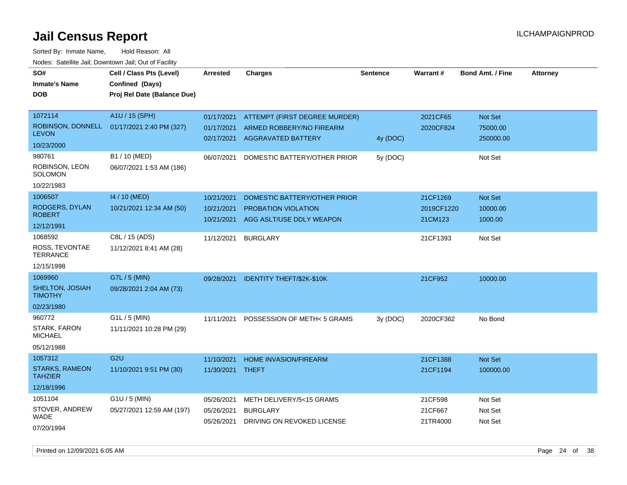| SO#<br><b>Inmate's Name</b><br><b>DOB</b>                        | Cell / Class Pts (Level)<br>Confined (Days)<br>Proj Rel Date (Balance Due) | Arrested                               | <b>Charges</b>                                                                         | <b>Sentence</b> | Warrant#                          | <b>Bond Amt. / Fine</b>          | <b>Attorney</b> |
|------------------------------------------------------------------|----------------------------------------------------------------------------|----------------------------------------|----------------------------------------------------------------------------------------|-----------------|-----------------------------------|----------------------------------|-----------------|
| 1072114<br>ROBINSON, DONNELL<br><b>LEVON</b><br>10/23/2000       | A1U / 15 (SPH)<br>01/17/2021 2:40 PM (327)                                 | 01/17/2021<br>01/17/2021<br>02/17/2021 | ATTEMPT (FIRST DEGREE MURDER)<br>ARMED ROBBERY/NO FIREARM<br><b>AGGRAVATED BATTERY</b> | 4y (DOC)        | 2021CF65<br>2020CF824             | Not Set<br>75000.00<br>250000.00 |                 |
| 980761<br>ROBINSON, LEON<br>SOLOMON<br>10/22/1983                | B1 / 10 (MED)<br>06/07/2021 1:53 AM (186)                                  | 06/07/2021                             | DOMESTIC BATTERY/OTHER PRIOR                                                           | 5y (DOC)        |                                   | Not Set                          |                 |
| 1006507<br>RODGERS, DYLAN<br><b>ROBERT</b><br>12/12/1991         | 14 / 10 (MED)<br>10/21/2021 12:34 AM (50)                                  | 10/21/2021<br>10/21/2021<br>10/21/2021 | DOMESTIC BATTERY/OTHER PRIOR<br>PROBATION VIOLATION<br>AGG ASLT/USE DDLY WEAPON        |                 | 21CF1269<br>2019CF1220<br>21CM123 | Not Set<br>10000.00<br>1000.00   |                 |
| 1068592<br>ROSS, TEVONTAE<br><b>TERRANCE</b><br>12/15/1998       | C8L / 15 (ADS)<br>11/12/2021 8:41 AM (28)                                  | 11/12/2021                             | <b>BURGLARY</b>                                                                        |                 | 21CF1393                          | Not Set                          |                 |
| 1069960<br>SHELTON, JOSIAH<br><b>TIMOTHY</b><br>02/23/1980       | G7L / 5 (MIN)<br>09/28/2021 2:04 AM (73)                                   | 09/28/2021                             | <b>IDENTITY THEFT/\$2K-\$10K</b>                                                       |                 | 21CF952                           | 10000.00                         |                 |
| 960772<br>STARK, FARON<br><b>MICHAEL</b><br>05/12/1988           | $G1L / 5$ (MIN)<br>11/11/2021 10:28 PM (29)                                | 11/11/2021                             | POSSESSION OF METH<5 GRAMS                                                             | 3y (DOC)        | 2020CF362                         | No Bond                          |                 |
| 1057312<br><b>STARKS, RAMEON</b><br><b>TAHZIER</b><br>12/18/1996 | G <sub>2U</sub><br>11/10/2021 9:51 PM (30)                                 | 11/10/2021<br>11/30/2021               | <b>HOME INVASION/FIREARM</b><br>THEFT                                                  |                 | 21CF1388<br>21CF1194              | <b>Not Set</b><br>100000.00      |                 |
| 1051104<br>STOVER, ANDREW<br>WADE<br>07/20/1994                  | G1U / 5 (MIN)<br>05/27/2021 12:59 AM (197)                                 | 05/26/2021<br>05/26/2021<br>05/26/2021 | METH DELIVERY/5<15 GRAMS<br><b>BURGLARY</b><br>DRIVING ON REVOKED LICENSE              |                 | 21CF598<br>21CF667<br>21TR4000    | Not Set<br>Not Set<br>Not Set    |                 |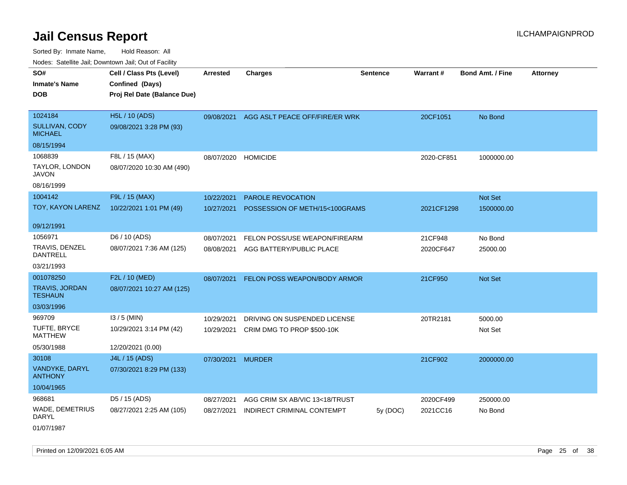Sorted By: Inmate Name, Hold Reason: All Nodes: Satellite Jail; Downtown Jail; Out of Facility

| roaco. Calcinio dan, Domnomi dan, Cal or Fability  |                                                                            |                          |                                                            |                 |                 |                         |                 |
|----------------------------------------------------|----------------------------------------------------------------------------|--------------------------|------------------------------------------------------------|-----------------|-----------------|-------------------------|-----------------|
| SO#<br><b>Inmate's Name</b><br><b>DOB</b>          | Cell / Class Pts (Level)<br>Confined (Days)<br>Proj Rel Date (Balance Due) | <b>Arrested</b>          | <b>Charges</b>                                             | <b>Sentence</b> | <b>Warrant#</b> | <b>Bond Amt. / Fine</b> | <b>Attorney</b> |
| 1024184<br><b>SULLIVAN, CODY</b><br><b>MICHAEL</b> | <b>H5L / 10 (ADS)</b><br>09/08/2021 3:28 PM (93)                           | 09/08/2021               | AGG ASLT PEACE OFF/FIRE/ER WRK                             |                 | 20CF1051        | No Bond                 |                 |
| 08/15/1994                                         |                                                                            |                          |                                                            |                 |                 |                         |                 |
| 1068839<br>TAYLOR, LONDON<br>JAVON<br>08/16/1999   | F8L / 15 (MAX)<br>08/07/2020 10:30 AM (490)                                | 08/07/2020 HOMICIDE      |                                                            |                 | 2020-CF851      | 1000000.00              |                 |
| 1004142                                            | F9L / 15 (MAX)                                                             |                          |                                                            |                 |                 |                         |                 |
| TOY, KAYON LARENZ                                  | 10/22/2021 1:01 PM (49)                                                    | 10/22/2021<br>10/27/2021 | <b>PAROLE REVOCATION</b><br>POSSESSION OF METH/15<100GRAMS |                 | 2021CF1298      | Not Set<br>1500000.00   |                 |
| 09/12/1991                                         |                                                                            |                          |                                                            |                 |                 |                         |                 |
| 1056971                                            | D6 / 10 (ADS)                                                              | 08/07/2021               | FELON POSS/USE WEAPON/FIREARM                              |                 | 21CF948         | No Bond                 |                 |
| TRAVIS, DENZEL<br>DANTRELL                         | 08/07/2021 7:36 AM (125)                                                   | 08/08/2021               | AGG BATTERY/PUBLIC PLACE                                   |                 | 2020CF647       | 25000.00                |                 |
| 03/21/1993                                         |                                                                            |                          |                                                            |                 |                 |                         |                 |
| 001078250                                          | F2L / 10 (MED)                                                             | 08/07/2021               | FELON POSS WEAPON/BODY ARMOR                               |                 | 21CF950         | Not Set                 |                 |
| <b>TRAVIS, JORDAN</b><br><b>TESHAUN</b>            | 08/07/2021 10:27 AM (125)                                                  |                          |                                                            |                 |                 |                         |                 |
| 03/03/1996                                         |                                                                            |                          |                                                            |                 |                 |                         |                 |
| 969709                                             | $13/5$ (MIN)                                                               | 10/29/2021               | DRIVING ON SUSPENDED LICENSE                               |                 | 20TR2181        | 5000.00                 |                 |
| TUFTE, BRYCE<br>MATTHEW                            | 10/29/2021 3:14 PM (42)                                                    | 10/29/2021               | CRIM DMG TO PROP \$500-10K                                 |                 |                 | Not Set                 |                 |
| 05/30/1988                                         | 12/20/2021 (0.00)                                                          |                          |                                                            |                 |                 |                         |                 |
| 30108                                              | J4L / 15 (ADS)                                                             | 07/30/2021               | <b>MURDER</b>                                              |                 | 21CF902         | 2000000.00              |                 |
| VANDYKE, DARYL<br><b>ANTHONY</b>                   | 07/30/2021 8:29 PM (133)                                                   |                          |                                                            |                 |                 |                         |                 |
| 10/04/1965                                         |                                                                            |                          |                                                            |                 |                 |                         |                 |
| 968681                                             | D5 / 15 (ADS)                                                              | 08/27/2021               | AGG CRIM SX AB/VIC 13<18/TRUST                             |                 | 2020CF499       | 250000.00               |                 |
| WADE, DEMETRIUS<br>DARYL                           | 08/27/2021 2:25 AM (105)                                                   | 08/27/2021               | INDIRECT CRIMINAL CONTEMPT                                 | 5y(DOC)         | 2021CC16        | No Bond                 |                 |

01/07/1987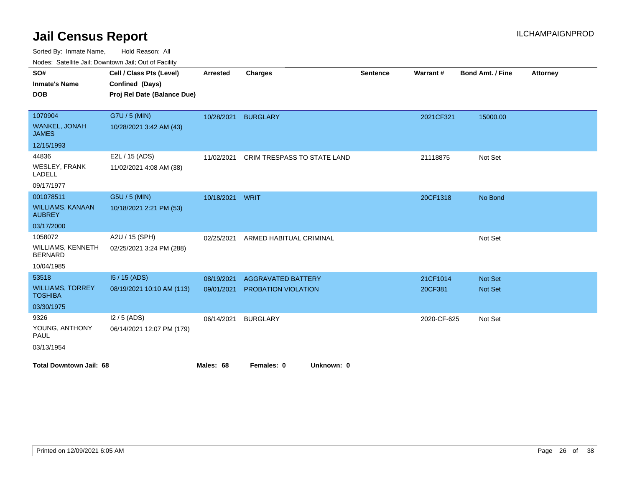Sorted By: Inmate Name, Hold Reason: All

| SO#                                       | Cell / Class Pts (Level)    | <b>Arrested</b> | <b>Charges</b>              | <b>Sentence</b> | Warrant#    | Bond Amt. / Fine | Attorney |
|-------------------------------------------|-----------------------------|-----------------|-----------------------------|-----------------|-------------|------------------|----------|
| <b>Inmate's Name</b>                      | Confined (Days)             |                 |                             |                 |             |                  |          |
|                                           |                             |                 |                             |                 |             |                  |          |
| <b>DOB</b>                                | Proj Rel Date (Balance Due) |                 |                             |                 |             |                  |          |
| 1070904                                   | G7U / 5 (MIN)               | 10/28/2021      | <b>BURGLARY</b>             |                 | 2021CF321   | 15000.00         |          |
| WANKEL, JONAH<br><b>JAMES</b>             | 10/28/2021 3:42 AM (43)     |                 |                             |                 |             |                  |          |
| 12/15/1993                                |                             |                 |                             |                 |             |                  |          |
| 44836                                     | E2L / 15 (ADS)              | 11/02/2021      | CRIM TRESPASS TO STATE LAND |                 | 21118875    | Not Set          |          |
| WESLEY, FRANK<br><b>LADELL</b>            | 11/02/2021 4:08 AM (38)     |                 |                             |                 |             |                  |          |
| 09/17/1977                                |                             |                 |                             |                 |             |                  |          |
| 001078511                                 | G5U / 5 (MIN)               | 10/18/2021      | WRIT                        |                 | 20CF1318    | No Bond          |          |
| <b>WILLIAMS, KANAAN</b><br><b>AUBREY</b>  | 10/18/2021 2:21 PM (53)     |                 |                             |                 |             |                  |          |
| 03/17/2000                                |                             |                 |                             |                 |             |                  |          |
| 1058072                                   | A2U / 15 (SPH)              | 02/25/2021      | ARMED HABITUAL CRIMINAL     |                 |             | Not Set          |          |
| WILLIAMS, KENNETH<br><b>BERNARD</b>       | 02/25/2021 3:24 PM (288)    |                 |                             |                 |             |                  |          |
| 10/04/1985                                |                             |                 |                             |                 |             |                  |          |
| 53518                                     | I5 / 15 (ADS)               | 08/19/2021      | <b>AGGRAVATED BATTERY</b>   |                 | 21CF1014    | Not Set          |          |
| <b>WILLIAMS, TORREY</b><br><b>TOSHIBA</b> | 08/19/2021 10:10 AM (113)   | 09/01/2021      | PROBATION VIOLATION         |                 | 20CF381     | Not Set          |          |
| 03/30/1975                                |                             |                 |                             |                 |             |                  |          |
| 9326                                      | $12/5$ (ADS)                | 06/14/2021      | <b>BURGLARY</b>             |                 | 2020-CF-625 | Not Set          |          |
| YOUNG, ANTHONY<br><b>PAUL</b>             | 06/14/2021 12:07 PM (179)   |                 |                             |                 |             |                  |          |
| 03/13/1954                                |                             |                 |                             |                 |             |                  |          |
| <b>Total Downtown Jail: 68</b>            |                             | Males: 68       | Females: 0<br>Unknown: 0    |                 |             |                  |          |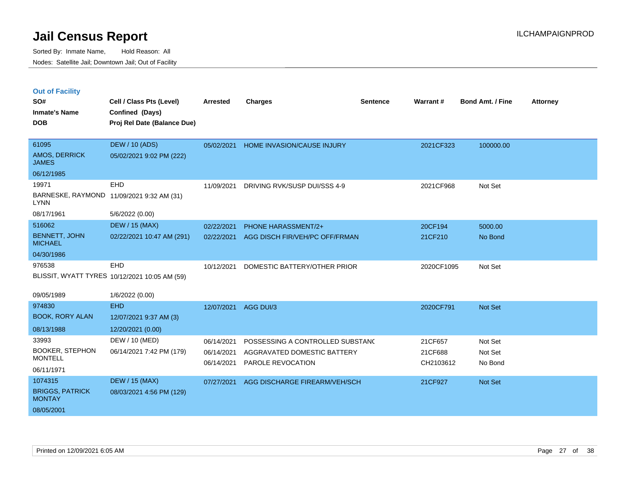| <b>Out of Facility</b> |  |  |
|------------------------|--|--|
|                        |  |  |

| SO#<br><b>Inmate's Name</b>             | Cell / Class Pts (Level)<br>Confined (Days)   | <b>Arrested</b> | <b>Charges</b>                    | <b>Sentence</b> | Warrant#   | <b>Bond Amt. / Fine</b> | <b>Attorney</b> |
|-----------------------------------------|-----------------------------------------------|-----------------|-----------------------------------|-----------------|------------|-------------------------|-----------------|
| <b>DOB</b>                              | Proj Rel Date (Balance Due)                   |                 |                                   |                 |            |                         |                 |
| 61095                                   | <b>DEW / 10 (ADS)</b>                         | 05/02/2021      | <b>HOME INVASION/CAUSE INJURY</b> |                 | 2021CF323  | 100000.00               |                 |
| <b>AMOS, DERRICK</b><br><b>JAMES</b>    | 05/02/2021 9:02 PM (222)                      |                 |                                   |                 |            |                         |                 |
| 06/12/1985                              |                                               |                 |                                   |                 |            |                         |                 |
| 19971                                   | EHD                                           | 11/09/2021      | DRIVING RVK/SUSP DUI/SSS 4-9      |                 | 2021CF968  | Not Set                 |                 |
| <b>LYNN</b>                             | BARNESKE, RAYMOND 11/09/2021 9:32 AM (31)     |                 |                                   |                 |            |                         |                 |
| 08/17/1961                              | 5/6/2022 (0.00)                               |                 |                                   |                 |            |                         |                 |
| 516062                                  | <b>DEW / 15 (MAX)</b>                         | 02/22/2021      | PHONE HARASSMENT/2+               |                 | 20CF194    | 5000.00                 |                 |
| <b>BENNETT, JOHN</b><br><b>MICHAEL</b>  | 02/22/2021 10:47 AM (291)                     | 02/22/2021      | AGG DISCH FIR/VEH/PC OFF/FRMAN    |                 | 21CF210    | No Bond                 |                 |
| 04/30/1986                              |                                               |                 |                                   |                 |            |                         |                 |
| 976538                                  | EHD                                           | 10/12/2021      | DOMESTIC BATTERY/OTHER PRIOR      |                 | 2020CF1095 | Not Set                 |                 |
|                                         | BLISSIT, WYATT TYRES 10/12/2021 10:05 AM (59) |                 |                                   |                 |            |                         |                 |
| 09/05/1989                              | 1/6/2022 (0.00)                               |                 |                                   |                 |            |                         |                 |
| 974830                                  | <b>EHD</b>                                    | 12/07/2021      | AGG DUI/3                         |                 | 2020CF791  | Not Set                 |                 |
| <b>BOOK, RORY ALAN</b>                  | 12/07/2021 9:37 AM (3)                        |                 |                                   |                 |            |                         |                 |
| 08/13/1988                              | 12/20/2021 (0.00)                             |                 |                                   |                 |            |                         |                 |
| 33993                                   | DEW / 10 (MED)                                | 06/14/2021      | POSSESSING A CONTROLLED SUBSTAND  |                 | 21CF657    | Not Set                 |                 |
| <b>BOOKER, STEPHON</b>                  | 06/14/2021 7:42 PM (179)                      | 06/14/2021      | AGGRAVATED DOMESTIC BATTERY       |                 | 21CF688    | Not Set                 |                 |
| <b>MONTELL</b>                          |                                               | 06/14/2021      | PAROLE REVOCATION                 |                 | CH2103612  | No Bond                 |                 |
| 06/11/1971                              |                                               |                 |                                   |                 |            |                         |                 |
| 1074315                                 | <b>DEW / 15 (MAX)</b>                         | 07/27/2021      | AGG DISCHARGE FIREARM/VEH/SCH     |                 | 21CF927    | Not Set                 |                 |
| <b>BRIGGS, PATRICK</b><br><b>MONTAY</b> | 08/03/2021 4:56 PM (129)                      |                 |                                   |                 |            |                         |                 |
| 08/05/2001                              |                                               |                 |                                   |                 |            |                         |                 |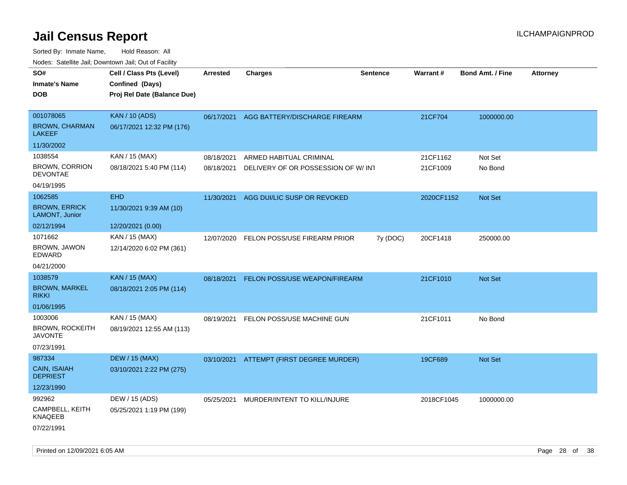| roaco. Catolino dall, Downtown dall, Out of Fability |                             |            |                                          |                 |                 |                         |                 |
|------------------------------------------------------|-----------------------------|------------|------------------------------------------|-----------------|-----------------|-------------------------|-----------------|
| SO#                                                  | Cell / Class Pts (Level)    | Arrested   | Charges                                  | <b>Sentence</b> | <b>Warrant#</b> | <b>Bond Amt. / Fine</b> | <b>Attorney</b> |
| <b>Inmate's Name</b>                                 | Confined (Days)             |            |                                          |                 |                 |                         |                 |
| <b>DOB</b>                                           | Proj Rel Date (Balance Due) |            |                                          |                 |                 |                         |                 |
|                                                      |                             |            |                                          |                 |                 |                         |                 |
| 001078065                                            | <b>KAN / 10 (ADS)</b>       | 06/17/2021 | AGG BATTERY/DISCHARGE FIREARM            |                 | 21CF704         | 1000000.00              |                 |
| <b>BROWN, CHARMAN</b><br><b>LAKEEF</b>               | 06/17/2021 12:32 PM (176)   |            |                                          |                 |                 |                         |                 |
| 11/30/2002                                           |                             |            |                                          |                 |                 |                         |                 |
| 1038554                                              | KAN / 15 (MAX)              | 08/18/2021 | ARMED HABITUAL CRIMINAL                  |                 | 21CF1162        | Not Set                 |                 |
| <b>BROWN, CORRION</b><br><b>DEVONTAE</b>             | 08/18/2021 5:40 PM (114)    | 08/18/2021 | DELIVERY OF OR POSSESSION OF W/INT       |                 | 21CF1009        | No Bond                 |                 |
| 04/19/1995                                           |                             |            |                                          |                 |                 |                         |                 |
| 1062585                                              | <b>EHD</b>                  | 11/30/2021 | AGG DUI/LIC SUSP OR REVOKED              |                 | 2020CF1152      | <b>Not Set</b>          |                 |
| <b>BROWN, ERRICK</b><br>LAMONT, Junior               | 11/30/2021 9:39 AM (10)     |            |                                          |                 |                 |                         |                 |
| 02/12/1994                                           | 12/20/2021 (0.00)           |            |                                          |                 |                 |                         |                 |
| 1071662                                              | KAN / 15 (MAX)              | 12/07/2020 | FELON POSS/USE FIREARM PRIOR             | 7y (DOC)        | 20CF1418        | 250000.00               |                 |
| BROWN, JAWON<br>EDWARD                               | 12/14/2020 6:02 PM (361)    |            |                                          |                 |                 |                         |                 |
| 04/21/2000                                           |                             |            |                                          |                 |                 |                         |                 |
| 1038579                                              | <b>KAN / 15 (MAX)</b>       | 08/18/2021 | <b>FELON POSS/USE WEAPON/FIREARM</b>     |                 | 21CF1010        | <b>Not Set</b>          |                 |
| <b>BROWN, MARKEL</b><br><b>RIKKI</b>                 | 08/18/2021 2:05 PM (114)    |            |                                          |                 |                 |                         |                 |
| 01/06/1995                                           |                             |            |                                          |                 |                 |                         |                 |
| 1003006                                              | KAN / 15 (MAX)              | 08/19/2021 | FELON POSS/USE MACHINE GUN               |                 | 21CF1011        | No Bond                 |                 |
| <b>BROWN, ROCKEITH</b><br><b>JAVONTE</b>             | 08/19/2021 12:55 AM (113)   |            |                                          |                 |                 |                         |                 |
| 07/23/1991                                           |                             |            |                                          |                 |                 |                         |                 |
| 987334                                               | <b>DEW / 15 (MAX)</b>       |            | 03/10/2021 ATTEMPT (FIRST DEGREE MURDER) |                 | 19CF689         | <b>Not Set</b>          |                 |
| CAIN, ISAIAH<br><b>DEPRIEST</b>                      | 03/10/2021 2:22 PM (275)    |            |                                          |                 |                 |                         |                 |
| 12/23/1990                                           |                             |            |                                          |                 |                 |                         |                 |
| 992962                                               | DEW / 15 (ADS)              | 05/25/2021 | MURDER/INTENT TO KILL/INJURE             |                 | 2018CF1045      | 1000000.00              |                 |
| CAMPBELL, KEITH<br><b>KNAQEEB</b>                    | 05/25/2021 1:19 PM (199)    |            |                                          |                 |                 |                         |                 |
| 07/22/1991                                           |                             |            |                                          |                 |                 |                         |                 |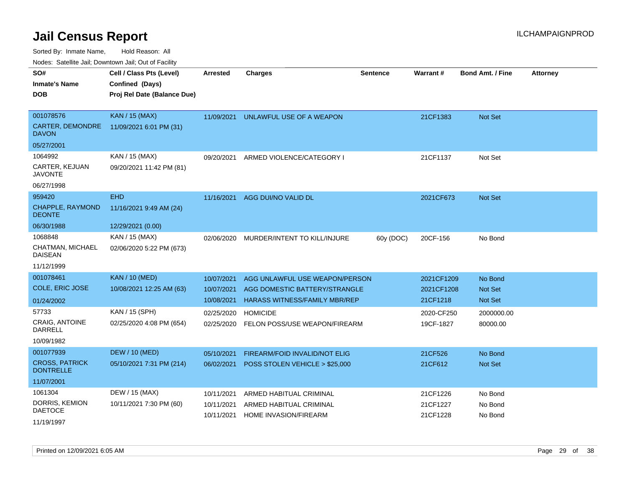Sorted By: Inmate Name, Hold Reason: All

Nodes: Satellite Jail; Downtown Jail; Out of Facility

| SO#                                | Cell / Class Pts (Level)    | <b>Arrested</b> | <b>Charges</b>                       | <b>Sentence</b> | <b>Warrant#</b> | <b>Bond Amt. / Fine</b> | <b>Attorney</b> |
|------------------------------------|-----------------------------|-----------------|--------------------------------------|-----------------|-----------------|-------------------------|-----------------|
| <b>Inmate's Name</b>               | Confined (Days)             |                 |                                      |                 |                 |                         |                 |
| <b>DOB</b>                         | Proj Rel Date (Balance Due) |                 |                                      |                 |                 |                         |                 |
|                                    |                             |                 |                                      |                 |                 |                         |                 |
| 001078576                          | <b>KAN / 15 (MAX)</b>       | 11/09/2021      | UNLAWFUL USE OF A WEAPON             |                 | 21CF1383        | Not Set                 |                 |
| CARTER, DEMONDRE<br><b>DAVON</b>   | 11/09/2021 6:01 PM (31)     |                 |                                      |                 |                 |                         |                 |
| 05/27/2001                         |                             |                 |                                      |                 |                 |                         |                 |
| 1064992                            | KAN / 15 (MAX)              | 09/20/2021      | ARMED VIOLENCE/CATEGORY I            |                 | 21CF1137        | Not Set                 |                 |
| CARTER, KEJUAN<br><b>JAVONTE</b>   | 09/20/2021 11:42 PM (81)    |                 |                                      |                 |                 |                         |                 |
| 06/27/1998                         |                             |                 |                                      |                 |                 |                         |                 |
| 959420                             | <b>EHD</b>                  | 11/16/2021      | AGG DUI/NO VALID DL                  |                 | 2021CF673       | Not Set                 |                 |
| CHAPPLE, RAYMOND<br><b>DEONTE</b>  | 11/16/2021 9:49 AM (24)     |                 |                                      |                 |                 |                         |                 |
| 06/30/1988                         | 12/29/2021 (0.00)           |                 |                                      |                 |                 |                         |                 |
| 1068848                            | KAN / 15 (MAX)              | 02/06/2020      | MURDER/INTENT TO KILL/INJURE         | 60y (DOC)       | 20CF-156        | No Bond                 |                 |
| CHATMAN, MICHAEL<br><b>DAISEAN</b> | 02/06/2020 5:22 PM (673)    |                 |                                      |                 |                 |                         |                 |
| 11/12/1999                         |                             |                 |                                      |                 |                 |                         |                 |
| 001078461                          | <b>KAN / 10 (MED)</b>       | 10/07/2021      | AGG UNLAWFUL USE WEAPON/PERSON       |                 | 2021CF1209      | No Bond                 |                 |
| COLE, ERIC JOSE                    | 10/08/2021 12:25 AM (63)    | 10/07/2021      | AGG DOMESTIC BATTERY/STRANGLE        |                 | 2021CF1208      | <b>Not Set</b>          |                 |
| 01/24/2002                         |                             | 10/08/2021      | <b>HARASS WITNESS/FAMILY MBR/REP</b> |                 | 21CF1218        | <b>Not Set</b>          |                 |
| 57733                              | KAN / 15 (SPH)              | 02/25/2020      | <b>HOMICIDE</b>                      |                 | 2020-CF250      | 2000000.00              |                 |
| <b>CRAIG, ANTOINE</b><br>DARRELL   | 02/25/2020 4:08 PM (654)    | 02/25/2020      | FELON POSS/USE WEAPON/FIREARM        |                 | 19CF-1827       | 80000.00                |                 |
| 10/09/1982                         |                             |                 |                                      |                 |                 |                         |                 |
| 001077939                          | <b>DEW / 10 (MED)</b>       | 05/10/2021      | FIREARM/FOID INVALID/NOT ELIG        |                 | 21CF526         | No Bond                 |                 |
| <b>CROSS, PATRICK</b>              | 05/10/2021 7:31 PM (214)    | 06/02/2021      | POSS STOLEN VEHICLE > \$25,000       |                 | 21CF612         | <b>Not Set</b>          |                 |
| <b>DONTRELLE</b>                   |                             |                 |                                      |                 |                 |                         |                 |
| 11/07/2001                         |                             |                 |                                      |                 |                 |                         |                 |
| 1061304                            | DEW / 15 (MAX)              | 10/11/2021      | ARMED HABITUAL CRIMINAL              |                 | 21CF1226        | No Bond                 |                 |
| DORRIS, KEMION                     | 10/11/2021 7:30 PM (60)     | 10/11/2021      | ARMED HABITUAL CRIMINAL              |                 | 21CF1227        | No Bond                 |                 |
| <b>DAETOCE</b>                     |                             | 10/11/2021      | <b>HOME INVASION/FIREARM</b>         |                 | 21CF1228        | No Bond                 |                 |
| 11/19/1997                         |                             |                 |                                      |                 |                 |                         |                 |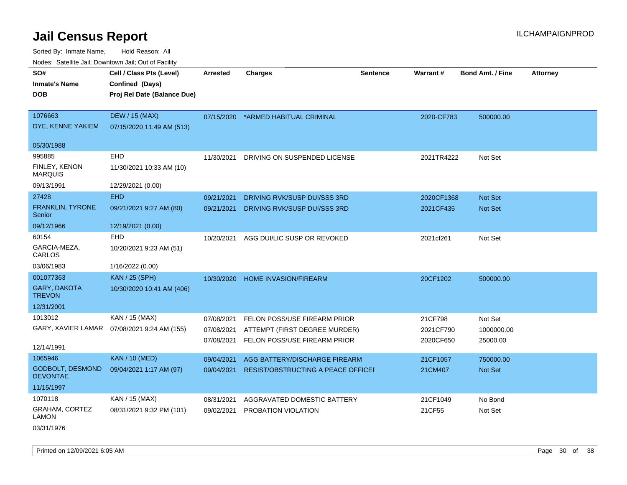Sorted By: Inmate Name, Hold Reason: All Nodes: Satellite Jail; Downtown Jail; Out of Facility

| Noucs. Calcillic Jail, Downtown Jail, Out of Facility |                                                    |                 |                                           |                 |                 |                         |                 |
|-------------------------------------------------------|----------------------------------------------------|-----------------|-------------------------------------------|-----------------|-----------------|-------------------------|-----------------|
| SO#<br><b>Inmate's Name</b>                           | Cell / Class Pts (Level)<br>Confined (Days)        | <b>Arrested</b> | <b>Charges</b>                            | <b>Sentence</b> | <b>Warrant#</b> | <b>Bond Amt. / Fine</b> | <b>Attorney</b> |
| DOB                                                   | Proj Rel Date (Balance Due)                        |                 |                                           |                 |                 |                         |                 |
| 1076663<br>DYE, KENNE YAKIEM                          | <b>DEW / 15 (MAX)</b><br>07/15/2020 11:49 AM (513) | 07/15/2020      | *ARMED HABITUAL CRIMINAL                  |                 | 2020-CF783      | 500000.00               |                 |
| 05/30/1988                                            |                                                    |                 |                                           |                 |                 |                         |                 |
| 995885                                                | <b>EHD</b>                                         | 11/30/2021      | DRIVING ON SUSPENDED LICENSE              |                 | 2021TR4222      | Not Set                 |                 |
| FINLEY, KENON<br><b>MARQUIS</b>                       | 11/30/2021 10:33 AM (10)                           |                 |                                           |                 |                 |                         |                 |
| 09/13/1991                                            | 12/29/2021 (0.00)                                  |                 |                                           |                 |                 |                         |                 |
| 27428                                                 | <b>EHD</b>                                         | 09/21/2021      | DRIVING RVK/SUSP DUI/SSS 3RD              |                 | 2020CF1368      | <b>Not Set</b>          |                 |
| FRANKLIN, TYRONE<br>Senior                            | 09/21/2021 9:27 AM (80)                            | 09/21/2021      | DRIVING RVK/SUSP DUI/SSS 3RD              |                 | 2021CF435       | Not Set                 |                 |
| 09/12/1966                                            | 12/19/2021 (0.00)                                  |                 |                                           |                 |                 |                         |                 |
| 60154                                                 | <b>EHD</b>                                         | 10/20/2021      | AGG DUI/LIC SUSP OR REVOKED               |                 | 2021cf261       | Not Set                 |                 |
| GARCIA-MEZA,<br>CARLOS                                | 10/20/2021 9:23 AM (51)                            |                 |                                           |                 |                 |                         |                 |
| 03/06/1983                                            | 1/16/2022 (0.00)                                   |                 |                                           |                 |                 |                         |                 |
| 001077363                                             | <b>KAN / 25 (SPH)</b>                              | 10/30/2020      | <b>HOME INVASION/FIREARM</b>              |                 | 20CF1202        | 500000.00               |                 |
| <b>GARY, DAKOTA</b><br><b>TREVON</b>                  | 10/30/2020 10:41 AM (406)                          |                 |                                           |                 |                 |                         |                 |
| 12/31/2001                                            |                                                    |                 |                                           |                 |                 |                         |                 |
| 1013012                                               | KAN / 15 (MAX)                                     | 07/08/2021      | FELON POSS/USE FIREARM PRIOR              |                 | 21CF798         | Not Set                 |                 |
|                                                       | GARY, XAVIER LAMAR  07/08/2021 9:24 AM (155)       | 07/08/2021      | ATTEMPT (FIRST DEGREE MURDER)             |                 | 2021CF790       | 1000000.00              |                 |
| 12/14/1991                                            |                                                    | 07/08/2021      | FELON POSS/USE FIREARM PRIOR              |                 | 2020CF650       | 25000.00                |                 |
| 1065946                                               | <b>KAN / 10 (MED)</b>                              | 09/04/2021      | AGG BATTERY/DISCHARGE FIREARM             |                 | 21CF1057        | 750000.00               |                 |
| <b>GODBOLT, DESMOND</b><br><b>DEVONTAE</b>            | 09/04/2021 1:17 AM (97)                            | 09/04/2021      | <b>RESIST/OBSTRUCTING A PEACE OFFICEF</b> |                 | 21CM407         | Not Set                 |                 |
| 11/15/1997                                            |                                                    |                 |                                           |                 |                 |                         |                 |
| 1070118                                               | KAN / 15 (MAX)                                     | 08/31/2021      | AGGRAVATED DOMESTIC BATTERY               |                 | 21CF1049        | No Bond                 |                 |
| GRAHAM, CORTEZ<br><b>LAMON</b>                        | 08/31/2021 9:32 PM (101)                           | 09/02/2021      | PROBATION VIOLATION                       |                 | 21CF55          | Not Set                 |                 |

03/31/1976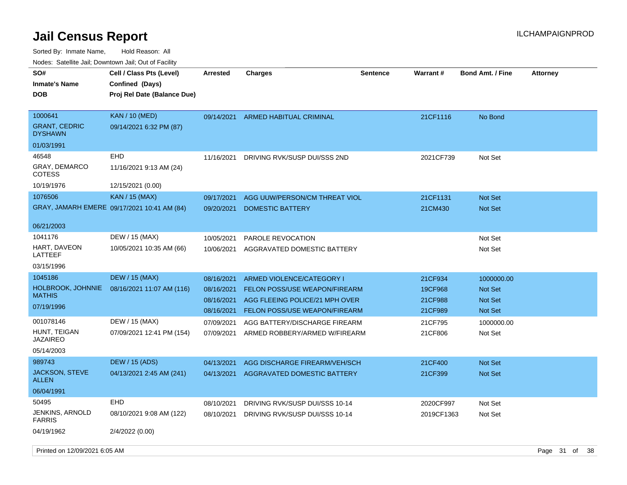Sorted By: Inmate Name, Hold Reason: All Nodes: Satellite Jail; Downtown Jail; Out of Facility

| roaco. Calcinio dan, Downtown dan, Oal or Fability |                                                                            |                          |                                                                 |                 |                    |                                  |                 |
|----------------------------------------------------|----------------------------------------------------------------------------|--------------------------|-----------------------------------------------------------------|-----------------|--------------------|----------------------------------|-----------------|
| SO#<br>Inmate's Name<br><b>DOB</b>                 | Cell / Class Pts (Level)<br>Confined (Days)<br>Proj Rel Date (Balance Due) | Arrested                 | <b>Charges</b>                                                  | <b>Sentence</b> | <b>Warrant#</b>    | <b>Bond Amt. / Fine</b>          | <b>Attorney</b> |
| 1000641<br><b>GRANT, CEDRIC</b><br><b>DYSHAWN</b>  | <b>KAN</b> / 10 (MED)<br>09/14/2021 6:32 PM (87)                           | 09/14/2021               | ARMED HABITUAL CRIMINAL                                         |                 | 21CF1116           | No Bond                          |                 |
| 01/03/1991                                         |                                                                            |                          |                                                                 |                 |                    |                                  |                 |
| 46548                                              | EHD                                                                        | 11/16/2021               | DRIVING RVK/SUSP DUI/SSS 2ND                                    |                 | 2021CF739          | Not Set                          |                 |
| GRAY, DEMARCO<br>COTESS                            | 11/16/2021 9:13 AM (24)                                                    |                          |                                                                 |                 |                    |                                  |                 |
| 10/19/1976                                         | 12/15/2021 (0.00)                                                          |                          |                                                                 |                 |                    |                                  |                 |
| 1076506                                            | <b>KAN / 15 (MAX)</b>                                                      | 09/17/2021               | AGG UUW/PERSON/CM THREAT VIOL                                   |                 | 21CF1131           | <b>Not Set</b>                   |                 |
|                                                    | GRAY, JAMARH EMERE 09/17/2021 10:41 AM (84)                                | 09/20/2021               | DOMESTIC BATTERY                                                |                 | 21CM430            | Not Set                          |                 |
| 06/21/2003                                         |                                                                            |                          |                                                                 |                 |                    |                                  |                 |
| 1041176                                            | DEW / 15 (MAX)                                                             | 10/05/2021               | PAROLE REVOCATION                                               |                 |                    | Not Set                          |                 |
| HART, DAVEON<br>LATTEEF                            | 10/05/2021 10:35 AM (66)                                                   | 10/06/2021               | AGGRAVATED DOMESTIC BATTERY                                     |                 |                    | Not Set                          |                 |
| 03/15/1996                                         |                                                                            |                          |                                                                 |                 |                    |                                  |                 |
| 1045186                                            | <b>DEW / 15 (MAX)</b>                                                      | 08/16/2021               | ARMED VIOLENCE/CATEGORY I                                       |                 | 21CF934            | 1000000.00                       |                 |
| HOLBROOK, JOHNNIE<br>MATHIS                        | 08/16/2021 11:07 AM (116)                                                  | 08/16/2021<br>08/16/2021 | FELON POSS/USE WEAPON/FIREARM<br>AGG FLEEING POLICE/21 MPH OVER |                 | 19CF968<br>21CF988 | <b>Not Set</b><br><b>Not Set</b> |                 |
| 07/19/1996                                         |                                                                            | 08/16/2021               | FELON POSS/USE WEAPON/FIREARM                                   |                 | 21CF989            | <b>Not Set</b>                   |                 |
| 001078146                                          | DEW / 15 (MAX)                                                             | 07/09/2021               | AGG BATTERY/DISCHARGE FIREARM                                   |                 | 21CF795            | 1000000.00                       |                 |
| HUNT, TEIGAN                                       | 07/09/2021 12:41 PM (154)                                                  | 07/09/2021               | ARMED ROBBERY/ARMED W/FIREARM                                   |                 | 21CF806            | Not Set                          |                 |
| JAZAIREO                                           |                                                                            |                          |                                                                 |                 |                    |                                  |                 |
| 05/14/2003                                         |                                                                            |                          |                                                                 |                 |                    |                                  |                 |
| 989743                                             | <b>DEW / 15 (ADS)</b>                                                      | 04/13/2021               | AGG DISCHARGE FIREARM/VEH/SCH                                   |                 | 21CF400            | <b>Not Set</b>                   |                 |
| JACKSON, STEVE<br>ALLEN                            | 04/13/2021 2:45 AM (241)                                                   | 04/13/2021               | AGGRAVATED DOMESTIC BATTERY                                     |                 | 21CF399            | <b>Not Set</b>                   |                 |
| 06/04/1991                                         |                                                                            |                          |                                                                 |                 |                    |                                  |                 |
| 50495                                              | EHD                                                                        | 08/10/2021               | DRIVING RVK/SUSP DUI/SSS 10-14                                  |                 | 2020CF997          | Not Set                          |                 |
| JENKINS, ARNOLD<br>FARRIS                          | 08/10/2021 9:08 AM (122)                                                   | 08/10/2021               | DRIVING RVK/SUSP DUI/SSS 10-14                                  |                 | 2019CF1363         | Not Set                          |                 |
| 04/19/1962                                         | 2/4/2022 (0.00)                                                            |                          |                                                                 |                 |                    |                                  |                 |

Printed on 12/09/2021 6:05 AM **Page 31 of 38**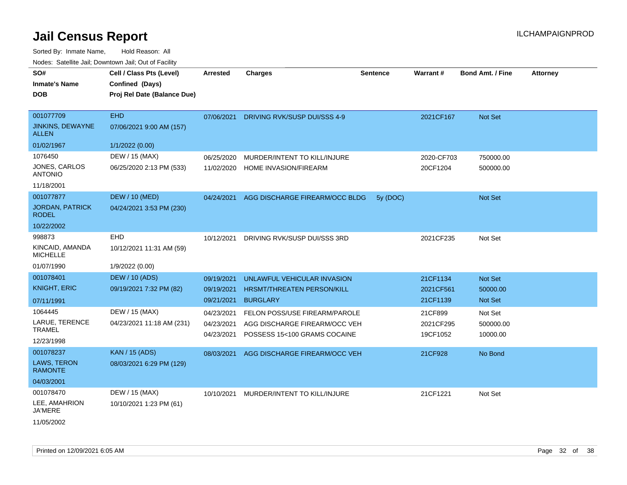| SO#<br><b>Inmate's Name</b><br><b>DOB</b>                         | Cell / Class Pts (Level)<br>Confined (Days)<br>Proj Rel Date (Balance Due) | <b>Arrested</b>                        | <b>Charges</b>                                                                                 | <b>Sentence</b> | <b>Warrant#</b>                   | <b>Bond Amt. / Fine</b>          | <b>Attorney</b> |
|-------------------------------------------------------------------|----------------------------------------------------------------------------|----------------------------------------|------------------------------------------------------------------------------------------------|-----------------|-----------------------------------|----------------------------------|-----------------|
| 001077709<br><b>JINKINS, DEWAYNE</b><br><b>ALLEN</b>              | <b>EHD</b><br>07/06/2021 9:00 AM (157)                                     | 07/06/2021                             | DRIVING RVK/SUSP DUI/SSS 4-9                                                                   |                 | 2021CF167                         | Not Set                          |                 |
| 01/02/1967                                                        | 1/1/2022 (0.00)                                                            |                                        |                                                                                                |                 |                                   |                                  |                 |
| 1076450<br>JONES, CARLOS<br><b>ANTONIO</b><br>11/18/2001          | DEW / 15 (MAX)<br>06/25/2020 2:13 PM (533)                                 | 06/25/2020<br>11/02/2020               | MURDER/INTENT TO KILL/INJURE<br>HOME INVASION/FIREARM                                          |                 | 2020-CF703<br>20CF1204            | 750000.00<br>500000.00           |                 |
| 001077877<br><b>JORDAN, PATRICK</b><br><b>RODEL</b><br>10/22/2002 | <b>DEW / 10 (MED)</b><br>04/24/2021 3:53 PM (230)                          | 04/24/2021                             | AGG DISCHARGE FIREARM/OCC BLDG                                                                 | 5y (DOC)        |                                   | Not Set                          |                 |
| 998873<br>KINCAID, AMANDA<br><b>MICHELLE</b><br>01/07/1990        | EHD<br>10/12/2021 11:31 AM (59)<br>1/9/2022 (0.00)                         | 10/12/2021                             | DRIVING RVK/SUSP DUI/SSS 3RD                                                                   |                 | 2021CF235                         | Not Set                          |                 |
| 001078401<br><b>KNIGHT, ERIC</b><br>07/11/1991                    | <b>DEW / 10 (ADS)</b><br>09/19/2021 7:32 PM (82)                           | 09/19/2021<br>09/19/2021<br>09/21/2021 | UNLAWFUL VEHICULAR INVASION<br>HRSMT/THREATEN PERSON/KILL<br><b>BURGLARY</b>                   |                 | 21CF1134<br>2021CF561<br>21CF1139 | Not Set<br>50000.00<br>Not Set   |                 |
| 1064445<br>LARUE, TERENCE<br><b>TRAMEL</b><br>12/23/1998          | DEW / 15 (MAX)<br>04/23/2021 11:18 AM (231)                                | 04/23/2021<br>04/23/2021<br>04/23/2021 | FELON POSS/USE FIREARM/PAROLE<br>AGG DISCHARGE FIREARM/OCC VEH<br>POSSESS 15<100 GRAMS COCAINE |                 | 21CF899<br>2021CF295<br>19CF1052  | Not Set<br>500000.00<br>10000.00 |                 |
| 001078237<br>LAWS, TERON<br><b>RAMONTE</b><br>04/03/2001          | <b>KAN / 15 (ADS)</b><br>08/03/2021 6:29 PM (129)                          | 08/03/2021                             | AGG DISCHARGE FIREARM/OCC VEH                                                                  |                 | 21CF928                           | No Bond                          |                 |
| 001078470<br>LEE, AMAHRION<br><b>JA'MERE</b><br>11/05/2002        | DEW / 15 (MAX)<br>10/10/2021 1:23 PM (61)                                  | 10/10/2021                             | MURDER/INTENT TO KILL/INJURE                                                                   |                 | 21CF1221                          | Not Set                          |                 |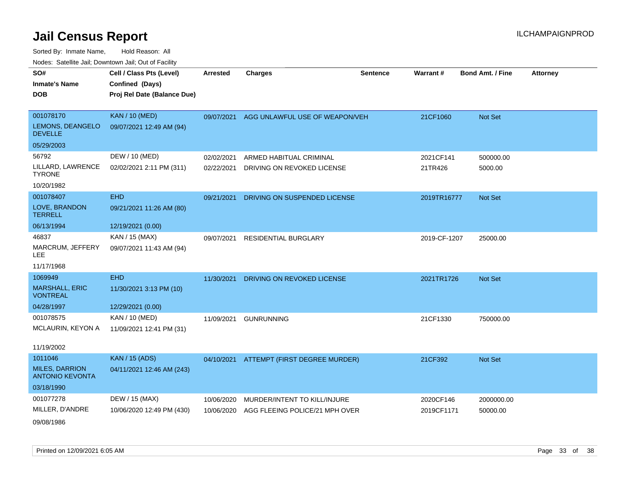| SO#                                             | Cell / Class Pts (Level)    | <b>Arrested</b> | <b>Charges</b>                           | <b>Sentence</b> | Warrant #    | <b>Bond Amt. / Fine</b> | <b>Attorney</b> |
|-------------------------------------------------|-----------------------------|-----------------|------------------------------------------|-----------------|--------------|-------------------------|-----------------|
| <b>Inmate's Name</b>                            | Confined (Days)             |                 |                                          |                 |              |                         |                 |
| <b>DOB</b>                                      | Proj Rel Date (Balance Due) |                 |                                          |                 |              |                         |                 |
|                                                 |                             |                 |                                          |                 |              |                         |                 |
| 001078170                                       | <b>KAN / 10 (MED)</b>       | 09/07/2021      | AGG UNLAWFUL USE OF WEAPON/VEH           |                 | 21CF1060     | Not Set                 |                 |
| LEMONS, DEANGELO<br><b>DEVELLE</b>              | 09/07/2021 12:49 AM (94)    |                 |                                          |                 |              |                         |                 |
| 05/29/2003                                      |                             |                 |                                          |                 |              |                         |                 |
| 56792                                           | DEW / 10 (MED)              | 02/02/2021      | ARMED HABITUAL CRIMINAL                  |                 | 2021CF141    | 500000.00               |                 |
| LILLARD, LAWRENCE<br><b>TYRONE</b>              | 02/02/2021 2:11 PM (311)    | 02/22/2021      | DRIVING ON REVOKED LICENSE               |                 | 21TR426      | 5000.00                 |                 |
| 10/20/1982                                      |                             |                 |                                          |                 |              |                         |                 |
| 001078407                                       | <b>EHD</b>                  | 09/21/2021      | DRIVING ON SUSPENDED LICENSE             |                 | 2019TR16777  | Not Set                 |                 |
| LOVE, BRANDON<br><b>TERRELL</b>                 | 09/21/2021 11:26 AM (80)    |                 |                                          |                 |              |                         |                 |
| 06/13/1994                                      | 12/19/2021 (0.00)           |                 |                                          |                 |              |                         |                 |
| 46837                                           | KAN / 15 (MAX)              | 09/07/2021      | <b>RESIDENTIAL BURGLARY</b>              |                 | 2019-CF-1207 | 25000.00                |                 |
| MARCRUM, JEFFERY<br><b>LEE</b>                  | 09/07/2021 11:43 AM (94)    |                 |                                          |                 |              |                         |                 |
| 11/17/1968                                      |                             |                 |                                          |                 |              |                         |                 |
| 1069949                                         | <b>EHD</b>                  | 11/30/2021      | DRIVING ON REVOKED LICENSE               |                 | 2021TR1726   | Not Set                 |                 |
| <b>MARSHALL, ERIC</b><br><b>VONTREAL</b>        | 11/30/2021 3:13 PM (10)     |                 |                                          |                 |              |                         |                 |
| 04/28/1997                                      | 12/29/2021 (0.00)           |                 |                                          |                 |              |                         |                 |
| 001078575                                       | KAN / 10 (MED)              | 11/09/2021      | <b>GUNRUNNING</b>                        |                 | 21CF1330     | 750000.00               |                 |
| MCLAURIN, KEYON A                               | 11/09/2021 12:41 PM (31)    |                 |                                          |                 |              |                         |                 |
| 11/19/2002                                      |                             |                 |                                          |                 |              |                         |                 |
| 1011046                                         | <b>KAN / 15 (ADS)</b>       |                 | 04/10/2021 ATTEMPT (FIRST DEGREE MURDER) |                 | 21CF392      | Not Set                 |                 |
| <b>MILES, DARRION</b><br><b>ANTONIO KEVONTA</b> | 04/11/2021 12:46 AM (243)   |                 |                                          |                 |              |                         |                 |
| 03/18/1990                                      |                             |                 |                                          |                 |              |                         |                 |
| 001077278                                       | DEW / 15 (MAX)              | 10/06/2020      | MURDER/INTENT TO KILL/INJURE             |                 | 2020CF146    | 2000000.00              |                 |
| MILLER, D'ANDRE                                 | 10/06/2020 12:49 PM (430)   | 10/06/2020      | AGG FLEEING POLICE/21 MPH OVER           |                 | 2019CF1171   | 50000.00                |                 |
| 09/08/1986                                      |                             |                 |                                          |                 |              |                         |                 |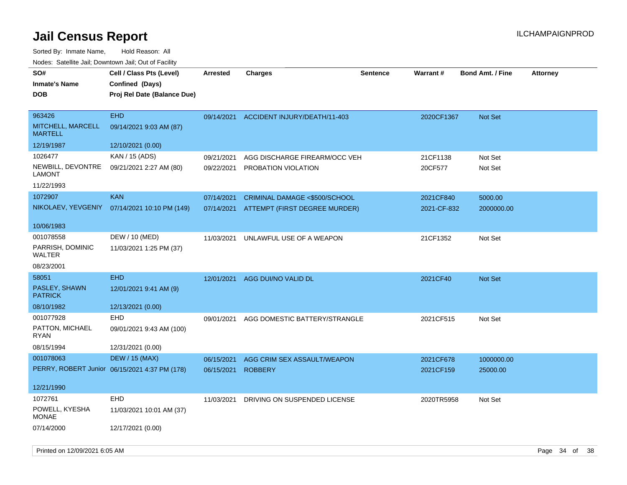| SO#<br><b>Inmate's Name</b><br><b>DOB</b>     | Cell / Class Pts (Level)<br>Confined (Days)<br>Proj Rel Date (Balance Due) | <b>Arrested</b> | <b>Charges</b>                          | <b>Sentence</b> | Warrant#    | <b>Bond Amt. / Fine</b> | <b>Attorney</b> |
|-----------------------------------------------|----------------------------------------------------------------------------|-----------------|-----------------------------------------|-----------------|-------------|-------------------------|-----------------|
| 963426<br>MITCHELL, MARCELL<br><b>MARTELL</b> | <b>EHD</b><br>09/14/2021 9:03 AM (87)                                      |                 | 09/14/2021 ACCIDENT INJURY/DEATH/11-403 |                 | 2020CF1367  | Not Set                 |                 |
| 12/19/1987                                    | 12/10/2021 (0.00)                                                          |                 |                                         |                 |             |                         |                 |
| 1026477                                       | KAN / 15 (ADS)                                                             | 09/21/2021      | AGG DISCHARGE FIREARM/OCC VEH           |                 | 21CF1138    | Not Set                 |                 |
| NEWBILL, DEVONTRE<br><b>LAMONT</b>            | 09/21/2021 2:27 AM (80)                                                    | 09/22/2021      | PROBATION VIOLATION                     |                 | 20CF577     | Not Set                 |                 |
| 11/22/1993                                    |                                                                            |                 |                                         |                 |             |                         |                 |
| 1072907                                       | <b>KAN</b>                                                                 | 07/14/2021      | CRIMINAL DAMAGE <\$500/SCHOOL           |                 | 2021CF840   | 5000.00                 |                 |
| NIKOLAEV, YEVGENIY                            | 07/14/2021 10:10 PM (149)                                                  | 07/14/2021      | ATTEMPT (FIRST DEGREE MURDER)           |                 | 2021-CF-832 | 2000000.00              |                 |
| 10/06/1983                                    |                                                                            |                 |                                         |                 |             |                         |                 |
| 001078558                                     | DEW / 10 (MED)                                                             | 11/03/2021      | UNLAWFUL USE OF A WEAPON                |                 | 21CF1352    | Not Set                 |                 |
| PARRISH, DOMINIC<br><b>WALTER</b>             | 11/03/2021 1:25 PM (37)                                                    |                 |                                         |                 |             |                         |                 |
| 08/23/2001                                    |                                                                            |                 |                                         |                 |             |                         |                 |
| 58051                                         | <b>EHD</b>                                                                 | 12/01/2021      | AGG DUI/NO VALID DL                     |                 | 2021CF40    | Not Set                 |                 |
| PASLEY, SHAWN<br><b>PATRICK</b>               | 12/01/2021 9:41 AM (9)                                                     |                 |                                         |                 |             |                         |                 |
| 08/10/1982                                    | 12/13/2021 (0.00)                                                          |                 |                                         |                 |             |                         |                 |
| 001077928                                     | <b>EHD</b>                                                                 | 09/01/2021      | AGG DOMESTIC BATTERY/STRANGLE           |                 | 2021CF515   | Not Set                 |                 |
| PATTON, MICHAEL<br>RYAN                       | 09/01/2021 9:43 AM (100)                                                   |                 |                                         |                 |             |                         |                 |
| 08/15/1994                                    | 12/31/2021 (0.00)                                                          |                 |                                         |                 |             |                         |                 |
| 001078063                                     | <b>DEW / 15 (MAX)</b>                                                      | 06/15/2021      | AGG CRIM SEX ASSAULT/WEAPON             |                 | 2021CF678   | 1000000.00              |                 |
|                                               | PERRY, ROBERT Junior 06/15/2021 4:37 PM (178)                              | 06/15/2021      | <b>ROBBERY</b>                          |                 | 2021CF159   | 25000.00                |                 |
| 12/21/1990                                    |                                                                            |                 |                                         |                 |             |                         |                 |
| 1072761                                       | <b>EHD</b>                                                                 | 11/03/2021      | DRIVING ON SUSPENDED LICENSE            |                 | 2020TR5958  | Not Set                 |                 |
| POWELL, KYESHA<br><b>MONAE</b>                | 11/03/2021 10:01 AM (37)                                                   |                 |                                         |                 |             |                         |                 |
| 07/14/2000                                    | 12/17/2021 (0.00)                                                          |                 |                                         |                 |             |                         |                 |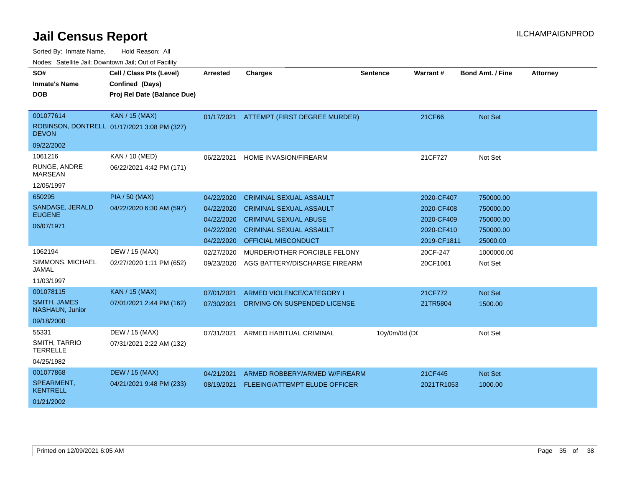| SO#                                    | Cell / Class Pts (Level)                    | <b>Arrested</b> | <b>Charges</b>                 | <b>Sentence</b> | <b>Warrant#</b> | <b>Bond Amt. / Fine</b> | <b>Attorney</b> |
|----------------------------------------|---------------------------------------------|-----------------|--------------------------------|-----------------|-----------------|-------------------------|-----------------|
| <b>Inmate's Name</b>                   | Confined (Days)                             |                 |                                |                 |                 |                         |                 |
| <b>DOB</b>                             | Proj Rel Date (Balance Due)                 |                 |                                |                 |                 |                         |                 |
|                                        |                                             |                 |                                |                 |                 |                         |                 |
| 001077614                              | <b>KAN / 15 (MAX)</b>                       | 01/17/2021      | ATTEMPT (FIRST DEGREE MURDER)  |                 | 21CF66          | <b>Not Set</b>          |                 |
| <b>DEVON</b>                           | ROBINSON, DONTRELL 01/17/2021 3:08 PM (327) |                 |                                |                 |                 |                         |                 |
| 09/22/2002                             |                                             |                 |                                |                 |                 |                         |                 |
| 1061216                                | KAN / 10 (MED)                              | 06/22/2021      | HOME INVASION/FIREARM          |                 | 21CF727         | Not Set                 |                 |
| RUNGE, ANDRE<br><b>MARSEAN</b>         | 06/22/2021 4:42 PM (171)                    |                 |                                |                 |                 |                         |                 |
| 12/05/1997                             |                                             |                 |                                |                 |                 |                         |                 |
| 650295                                 | <b>PIA / 50 (MAX)</b>                       | 04/22/2020      | <b>CRIMINAL SEXUAL ASSAULT</b> |                 | 2020-CF407      | 750000.00               |                 |
| SANDAGE, JERALD                        | 04/22/2020 6:30 AM (597)                    | 04/22/2020      | <b>CRIMINAL SEXUAL ASSAULT</b> |                 | 2020-CF408      | 750000.00               |                 |
| <b>EUGENE</b>                          |                                             | 04/22/2020      | <b>CRIMINAL SEXUAL ABUSE</b>   |                 | 2020-CF409      | 750000.00               |                 |
| 06/07/1971                             |                                             | 04/22/2020      | <b>CRIMINAL SEXUAL ASSAULT</b> |                 | 2020-CF410      | 750000.00               |                 |
|                                        |                                             | 04/22/2020      | <b>OFFICIAL MISCONDUCT</b>     |                 | 2019-CF1811     | 25000.00                |                 |
| 1062194                                | DEW / 15 (MAX)                              | 02/27/2020      | MURDER/OTHER FORCIBLE FELONY   |                 | 20CF-247        | 1000000.00              |                 |
| SIMMONS, MICHAEL<br>JAMAL              | 02/27/2020 1:11 PM (652)                    | 09/23/2020      | AGG BATTERY/DISCHARGE FIREARM  |                 | 20CF1061        | Not Set                 |                 |
| 11/03/1997                             |                                             |                 |                                |                 |                 |                         |                 |
| 001078115                              | <b>KAN / 15 (MAX)</b>                       | 07/01/2021      | ARMED VIOLENCE/CATEGORY I      |                 | 21CF772         | <b>Not Set</b>          |                 |
| <b>SMITH, JAMES</b><br>NASHAUN, Junior | 07/01/2021 2:44 PM (162)                    | 07/30/2021      | DRIVING ON SUSPENDED LICENSE   |                 | 21TR5804        | 1500.00                 |                 |
| 09/18/2000                             |                                             |                 |                                |                 |                 |                         |                 |
| 55331                                  | DEW / 15 (MAX)                              | 07/31/2021      | ARMED HABITUAL CRIMINAL        | 10y/0m/0d (DC   |                 | Not Set                 |                 |
| SMITH, TARRIO<br><b>TERRELLE</b>       | 07/31/2021 2:22 AM (132)                    |                 |                                |                 |                 |                         |                 |
| 04/25/1982                             |                                             |                 |                                |                 |                 |                         |                 |
| 001077868                              | <b>DEW / 15 (MAX)</b>                       | 04/21/2021      | ARMED ROBBERY/ARMED W/FIREARM  |                 | 21CF445         | <b>Not Set</b>          |                 |
| SPEARMENT,<br>KENTRELL                 | 04/21/2021 9:48 PM (233)                    | 08/19/2021      | FLEEING/ATTEMPT ELUDE OFFICER  |                 | 2021TR1053      | 1000.00                 |                 |
| 01/21/2002                             |                                             |                 |                                |                 |                 |                         |                 |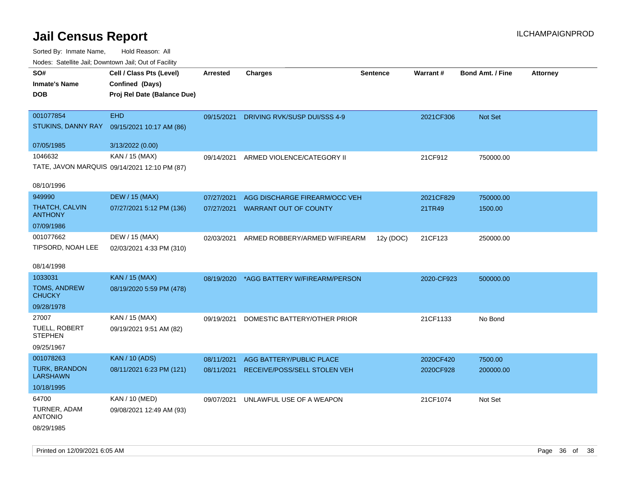| Nodes: Satellite Jali, Downtown Jali, Out of Facility |                                              |                 |                               |                 |            |                         |                 |
|-------------------------------------------------------|----------------------------------------------|-----------------|-------------------------------|-----------------|------------|-------------------------|-----------------|
| SO#                                                   | Cell / Class Pts (Level)                     | <b>Arrested</b> | <b>Charges</b>                | <b>Sentence</b> | Warrant#   | <b>Bond Amt. / Fine</b> | <b>Attorney</b> |
| <b>Inmate's Name</b>                                  | Confined (Days)                              |                 |                               |                 |            |                         |                 |
| <b>DOB</b>                                            | Proj Rel Date (Balance Due)                  |                 |                               |                 |            |                         |                 |
|                                                       |                                              |                 |                               |                 |            |                         |                 |
| 001077854                                             | <b>EHD</b>                                   | 09/15/2021      | DRIVING RVK/SUSP DUI/SSS 4-9  |                 | 2021CF306  | <b>Not Set</b>          |                 |
| STUKINS, DANNY RAY                                    | 09/15/2021 10:17 AM (86)                     |                 |                               |                 |            |                         |                 |
| 07/05/1985                                            | 3/13/2022 (0.00)                             |                 |                               |                 |            |                         |                 |
| 1046632                                               | KAN / 15 (MAX)                               | 09/14/2021      | ARMED VIOLENCE/CATEGORY II    |                 | 21CF912    | 750000.00               |                 |
|                                                       | TATE, JAVON MARQUIS 09/14/2021 12:10 PM (87) |                 |                               |                 |            |                         |                 |
| 08/10/1996                                            |                                              |                 |                               |                 |            |                         |                 |
| 949990                                                | <b>DEW / 15 (MAX)</b>                        | 07/27/2021      | AGG DISCHARGE FIREARM/OCC VEH |                 | 2021CF829  | 750000.00               |                 |
| THATCH, CALVIN<br><b>ANTHONY</b>                      | 07/27/2021 5:12 PM (136)                     | 07/27/2021      | <b>WARRANT OUT OF COUNTY</b>  |                 | 21TR49     | 1500.00                 |                 |
| 07/09/1986                                            |                                              |                 |                               |                 |            |                         |                 |
| 001077662                                             | DEW / 15 (MAX)                               | 02/03/2021      | ARMED ROBBERY/ARMED W/FIREARM | 12y (DOC)       | 21CF123    | 250000.00               |                 |
| TIPSORD, NOAH LEE                                     | 02/03/2021 4:33 PM (310)                     |                 |                               |                 |            |                         |                 |
|                                                       |                                              |                 |                               |                 |            |                         |                 |
| 08/14/1998                                            |                                              |                 |                               |                 |            |                         |                 |
| 1033031                                               | <b>KAN / 15 (MAX)</b>                        | 08/19/2020      | *AGG BATTERY W/FIREARM/PERSON |                 | 2020-CF923 | 500000.00               |                 |
| <b>TOMS, ANDREW</b><br><b>CHUCKY</b>                  | 08/19/2020 5:59 PM (478)                     |                 |                               |                 |            |                         |                 |
| 09/28/1978                                            |                                              |                 |                               |                 |            |                         |                 |
| 27007                                                 | KAN / 15 (MAX)                               | 09/19/2021      | DOMESTIC BATTERY/OTHER PRIOR  |                 | 21CF1133   | No Bond                 |                 |
| <b>TUELL, ROBERT</b><br><b>STEPHEN</b>                | 09/19/2021 9:51 AM (82)                      |                 |                               |                 |            |                         |                 |
| 09/25/1967                                            |                                              |                 |                               |                 |            |                         |                 |
| 001078263                                             | <b>KAN / 10 (ADS)</b>                        | 08/11/2021      | AGG BATTERY/PUBLIC PLACE      |                 | 2020CF420  | 7500.00                 |                 |
| <b>TURK, BRANDON</b><br>LARSHAWN                      | 08/11/2021 6:23 PM (121)                     | 08/11/2021      | RECEIVE/POSS/SELL STOLEN VEH  |                 | 2020CF928  | 200000.00               |                 |
| 10/18/1995                                            |                                              |                 |                               |                 |            |                         |                 |
| 64700                                                 | <b>KAN / 10 (MED)</b>                        | 09/07/2021      | UNLAWFUL USE OF A WEAPON      |                 | 21CF1074   | Not Set                 |                 |
| TURNER, ADAM<br><b>ANTONIO</b>                        | 09/08/2021 12:49 AM (93)                     |                 |                               |                 |            |                         |                 |
| 08/29/1985                                            |                                              |                 |                               |                 |            |                         |                 |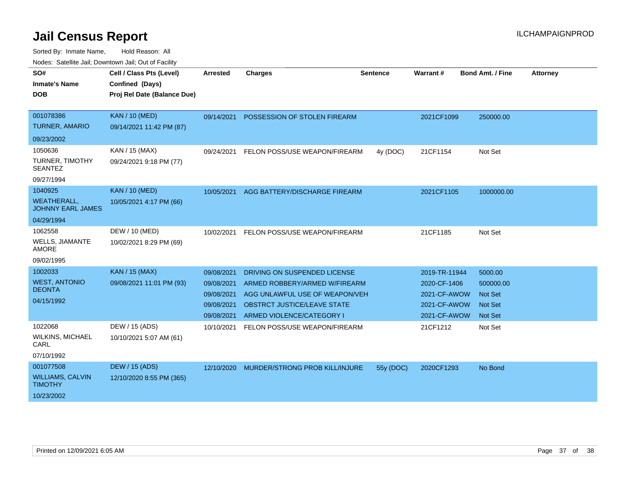| SO#<br><b>Inmate's Name</b><br><b>DOB</b>      | Cell / Class Pts (Level)<br>Confined (Days)<br>Proj Rel Date (Balance Due) | <b>Arrested</b> | <b>Charges</b>                        | <b>Sentence</b> | <b>Warrant#</b> | <b>Bond Amt. / Fine</b> | <b>Attorney</b> |
|------------------------------------------------|----------------------------------------------------------------------------|-----------------|---------------------------------------|-----------------|-----------------|-------------------------|-----------------|
| 001078386                                      | <b>KAN / 10 (MED)</b>                                                      | 09/14/2021      | POSSESSION OF STOLEN FIREARM          |                 | 2021CF1099      | 250000.00               |                 |
| <b>TURNER, AMARIO</b>                          | 09/14/2021 11:42 PM (87)                                                   |                 |                                       |                 |                 |                         |                 |
| 09/23/2002                                     |                                                                            |                 |                                       |                 |                 |                         |                 |
| 1050636                                        | KAN / 15 (MAX)                                                             | 09/24/2021      | FELON POSS/USE WEAPON/FIREARM         | 4y (DOC)        | 21CF1154        | Not Set                 |                 |
| TURNER, TIMOTHY<br><b>SEANTEZ</b>              | 09/24/2021 9:18 PM (77)                                                    |                 |                                       |                 |                 |                         |                 |
| 09/27/1994                                     |                                                                            |                 |                                       |                 |                 |                         |                 |
| 1040925                                        | <b>KAN / 10 (MED)</b>                                                      | 10/05/2021      | AGG BATTERY/DISCHARGE FIREARM         |                 | 2021CF1105      | 1000000.00              |                 |
| <b>WEATHERALL,</b><br><b>JOHNNY EARL JAMES</b> | 10/05/2021 4:17 PM (66)                                                    |                 |                                       |                 |                 |                         |                 |
| 04/29/1994                                     |                                                                            |                 |                                       |                 |                 |                         |                 |
| 1062558                                        | DEW / 10 (MED)                                                             | 10/02/2021      | FELON POSS/USE WEAPON/FIREARM         |                 | 21CF1185        | Not Set                 |                 |
| WELLS, JIAMANTE<br><b>AMORE</b>                | 10/02/2021 8:29 PM (69)                                                    |                 |                                       |                 |                 |                         |                 |
| 09/02/1995                                     |                                                                            |                 |                                       |                 |                 |                         |                 |
| 1002033                                        | <b>KAN / 15 (MAX)</b>                                                      | 09/08/2021      | DRIVING ON SUSPENDED LICENSE          |                 | 2019-TR-11944   | 5000.00                 |                 |
| <b>WEST, ANTONIO</b>                           | 09/08/2021 11:01 PM (93)                                                   | 09/08/2021      | ARMED ROBBERY/ARMED W/FIREARM         |                 | 2020-CF-1406    | 500000.00               |                 |
| <b>DEONTA</b>                                  |                                                                            | 09/08/2021      | AGG UNLAWFUL USE OF WEAPON/VEH        |                 | 2021-CF-AWOW    | <b>Not Set</b>          |                 |
| 04/15/1992                                     |                                                                            | 09/08/2021      | OBSTRCT JUSTICE/LEAVE STATE           |                 | 2021-CF-AWOW    | <b>Not Set</b>          |                 |
|                                                |                                                                            | 09/08/2021      | ARMED VIOLENCE/CATEGORY I             |                 | 2021-CF-AWOW    | <b>Not Set</b>          |                 |
| 1022068                                        | DEW / 15 (ADS)                                                             | 10/10/2021      | FELON POSS/USE WEAPON/FIREARM         |                 | 21CF1212        | Not Set                 |                 |
| <b>WILKINS, MICHAEL</b><br>CARL                | 10/10/2021 5:07 AM (61)                                                    |                 |                                       |                 |                 |                         |                 |
| 07/10/1992                                     |                                                                            |                 |                                       |                 |                 |                         |                 |
| 001077508                                      | <b>DEW / 15 (ADS)</b>                                                      | 12/10/2020      | <b>MURDER/STRONG PROB KILL/INJURE</b> | 55y (DOC)       | 2020CF1293      | No Bond                 |                 |
| <b>WILLIAMS, CALVIN</b><br><b>TIMOTHY</b>      | 12/10/2020 8:55 PM (365)                                                   |                 |                                       |                 |                 |                         |                 |
| 10/23/2002                                     |                                                                            |                 |                                       |                 |                 |                         |                 |